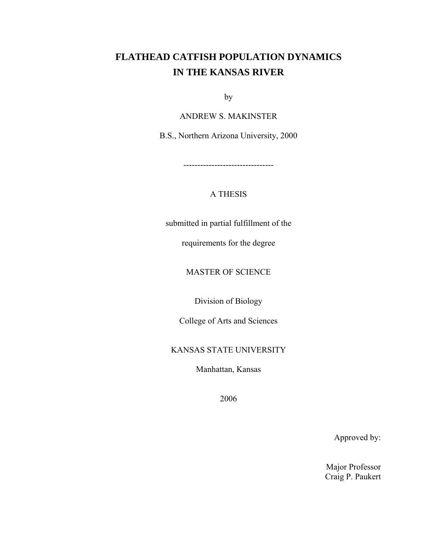# **FLATHEAD CATFISH POPULATION DYNAMICS IN THE KANSAS RIVER**

by

ANDREW S. MAKINSTER

B.S., Northern Arizona University, 2000

--------------------------------

## A THESIS

submitted in partial fulfillment of the

requirements for the degree

MASTER OF SCIENCE

Division of Biology

College of Arts and Sciences

### KANSAS STATE UNIVERSITY

Manhattan, Kansas

2006

Approved by:

Major Professor Craig P. Paukert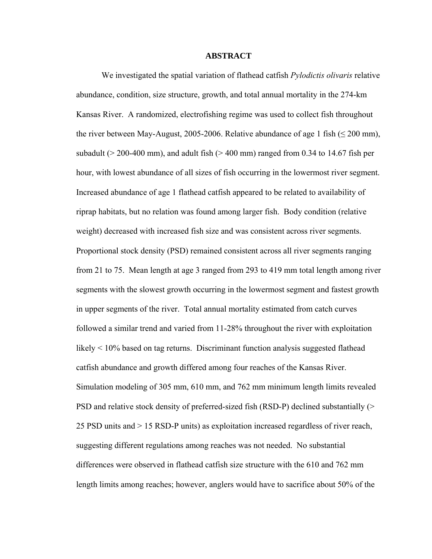#### **ABSTRACT**

 We investigated the spatial variation of flathead catfish *Pylodictis olivaris* relative abundance, condition, size structure, growth, and total annual mortality in the 274-km Kansas River. A randomized, electrofishing regime was used to collect fish throughout the river between May-August, 2005-2006. Relative abundance of age 1 fish ( $\leq$  200 mm), subadult ( $>$  200-400 mm), and adult fish ( $>$  400 mm) ranged from 0.34 to 14.67 fish per hour, with lowest abundance of all sizes of fish occurring in the lowermost river segment. Increased abundance of age 1 flathead catfish appeared to be related to availability of riprap habitats, but no relation was found among larger fish. Body condition (relative weight) decreased with increased fish size and was consistent across river segments. Proportional stock density (PSD) remained consistent across all river segments ranging from 21 to 75. Mean length at age 3 ranged from 293 to 419 mm total length among river segments with the slowest growth occurring in the lowermost segment and fastest growth in upper segments of the river. Total annual mortality estimated from catch curves followed a similar trend and varied from 11-28% throughout the river with exploitation likely < 10% based on tag returns. Discriminant function analysis suggested flathead catfish abundance and growth differed among four reaches of the Kansas River. Simulation modeling of 305 mm, 610 mm, and 762 mm minimum length limits revealed PSD and relative stock density of preferred-sized fish (RSD-P) declined substantially (> 25 PSD units and > 15 RSD-P units) as exploitation increased regardless of river reach, suggesting different regulations among reaches was not needed. No substantial differences were observed in flathead catfish size structure with the 610 and 762 mm length limits among reaches; however, anglers would have to sacrifice about 50% of the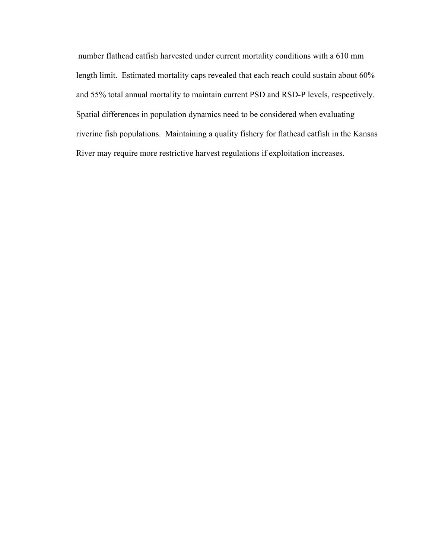number flathead catfish harvested under current mortality conditions with a 610 mm length limit. Estimated mortality caps revealed that each reach could sustain about 60% and 55% total annual mortality to maintain current PSD and RSD-P levels, respectively. Spatial differences in population dynamics need to be considered when evaluating riverine fish populations. Maintaining a quality fishery for flathead catfish in the Kansas River may require more restrictive harvest regulations if exploitation increases.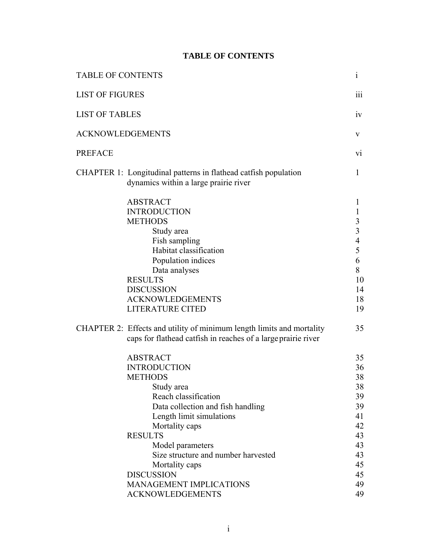## **TABLE OF CONTENTS**

| <b>TABLE OF CONTENTS</b> |                                                                                                                                                                                                                                                                                                                                                                    | $\mathbf{i}$                                                                                                                     |
|--------------------------|--------------------------------------------------------------------------------------------------------------------------------------------------------------------------------------------------------------------------------------------------------------------------------------------------------------------------------------------------------------------|----------------------------------------------------------------------------------------------------------------------------------|
| <b>LIST OF FIGURES</b>   |                                                                                                                                                                                                                                                                                                                                                                    | 111                                                                                                                              |
| <b>LIST OF TABLES</b>    |                                                                                                                                                                                                                                                                                                                                                                    | 1V                                                                                                                               |
| <b>ACKNOWLEDGEMENTS</b>  |                                                                                                                                                                                                                                                                                                                                                                    | V                                                                                                                                |
| <b>PREFACE</b>           |                                                                                                                                                                                                                                                                                                                                                                    | vi                                                                                                                               |
|                          | CHAPTER 1: Longitudinal patterns in flathead catfish population<br>dynamics within a large prairie river                                                                                                                                                                                                                                                           | 1                                                                                                                                |
|                          | <b>ABSTRACT</b><br><b>INTRODUCTION</b><br><b>METHODS</b><br>Study area<br>Fish sampling<br>Habitat classification<br>Population indices<br>Data analyses<br><b>RESULTS</b><br><b>DISCUSSION</b><br><b>ACKNOWLEDGEMENTS</b><br><b>LITERATURE CITED</b>                                                                                                              | 1<br>$\mathbf{1}$<br>$\overline{\mathbf{3}}$<br>$\overline{\mathbf{3}}$<br>$\overline{4}$<br>5<br>6<br>8<br>10<br>14<br>18<br>19 |
|                          | CHAPTER 2: Effects and utility of minimum length limits and mortality<br>caps for flathead catfish in reaches of a large prairie river                                                                                                                                                                                                                             | 35                                                                                                                               |
|                          | <b>ABSTRACT</b><br><b>INTRODUCTION</b><br><b>METHODS</b><br>Study area<br>Reach classification<br>Data collection and fish handling<br>Length limit simulations<br>Mortality caps<br><b>RESULTS</b><br>Model parameters<br>Size structure and number harvested<br>Mortality caps<br><b>DISCUSSION</b><br><b>MANAGEMENT IMPLICATIONS</b><br><b>ACKNOWLEDGEMENTS</b> | 35<br>36<br>38<br>38<br>39<br>39<br>41<br>42<br>43<br>43<br>43<br>45<br>45<br>49<br>49                                           |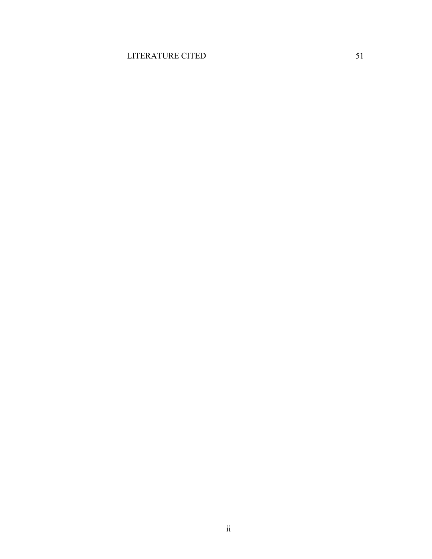## LITERATURE CITED 51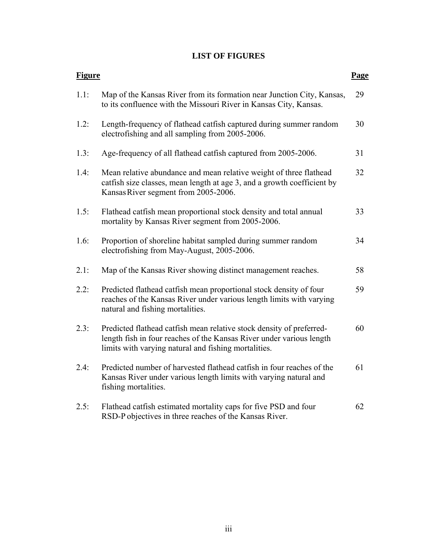## **LIST OF FIGURES**

| <b>Figure</b> |                                                                                                                                                                                                      | Page |
|---------------|------------------------------------------------------------------------------------------------------------------------------------------------------------------------------------------------------|------|
| 1.1:          | Map of the Kansas River from its formation near Junction City, Kansas,<br>to its confluence with the Missouri River in Kansas City, Kansas.                                                          | 29   |
| 1.2:          | Length-frequency of flathead catfish captured during summer random<br>electrofishing and all sampling from 2005-2006.                                                                                | 30   |
| 1.3:          | Age-frequency of all flathead catfish captured from 2005-2006.                                                                                                                                       | 31   |
| 1.4:          | Mean relative abundance and mean relative weight of three flathead<br>catfish size classes, mean length at age 3, and a growth coefficient by<br>Kansas River segment from 2005-2006.                | 32   |
| 1.5:          | Flathead catfish mean proportional stock density and total annual<br>mortality by Kansas River segment from 2005-2006.                                                                               | 33   |
| 1.6:          | Proportion of shoreline habitat sampled during summer random<br>electrofishing from May-August, 2005-2006.                                                                                           | 34   |
| 2.1:          | Map of the Kansas River showing distinct management reaches.                                                                                                                                         | 58   |
| 2.2:          | Predicted flathead catfish mean proportional stock density of four<br>reaches of the Kansas River under various length limits with varying<br>natural and fishing mortalities.                       | 59   |
| 2.3:          | Predicted flathead catfish mean relative stock density of preferred-<br>length fish in four reaches of the Kansas River under various length<br>limits with varying natural and fishing mortalities. | 60   |
| 2.4:          | Predicted number of harvested flathead catfish in four reaches of the<br>Kansas River under various length limits with varying natural and<br>fishing mortalities.                                   | 61   |
| 2.5:          | Flathead catfish estimated mortality caps for five PSD and four<br>RSD-P objectives in three reaches of the Kansas River.                                                                            | 62   |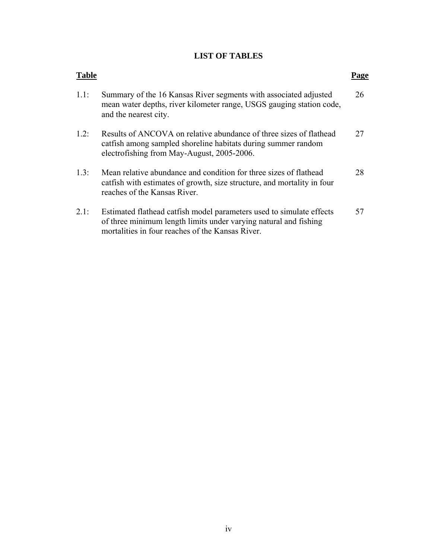## **LIST OF TABLES**

| <b>Table</b> |                                                                                                                                                                                              |    |
|--------------|----------------------------------------------------------------------------------------------------------------------------------------------------------------------------------------------|----|
| 1.1:         | Summary of the 16 Kansas River segments with associated adjusted<br>mean water depths, river kilometer range, USGS gauging station code,<br>and the nearest city.                            | 26 |
| $1.2$ :      | Results of ANCOVA on relative abundance of three sizes of flathead<br>catfish among sampled shoreline habitats during summer random<br>electrofishing from May-August, 2005-2006.            | 27 |
| 1.3:         | Mean relative abundance and condition for three sizes of flathead<br>catfish with estimates of growth, size structure, and mortality in four<br>reaches of the Kansas River.                 | 28 |
| 2.1:         | Estimated flathead catfish model parameters used to simulate effects<br>of three minimum length limits under varying natural and fishing<br>mortalities in four reaches of the Kansas River. | 57 |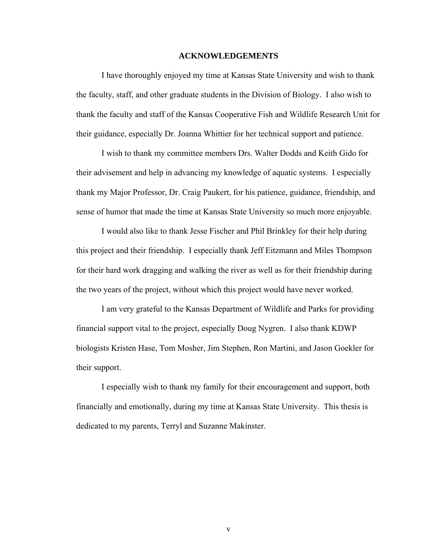#### **ACKNOWLEDGEMENTS**

 I have thoroughly enjoyed my time at Kansas State University and wish to thank the faculty, staff, and other graduate students in the Division of Biology. I also wish to thank the faculty and staff of the Kansas Cooperative Fish and Wildlife Research Unit for their guidance, especially Dr. Joanna Whittier for her technical support and patience.

 I wish to thank my committee members Drs. Walter Dodds and Keith Gido for their advisement and help in advancing my knowledge of aquatic systems. I especially thank my Major Professor, Dr. Craig Paukert, for his patience, guidance, friendship, and sense of humor that made the time at Kansas State University so much more enjoyable.

 I would also like to thank Jesse Fischer and Phil Brinkley for their help during this project and their friendship. I especially thank Jeff Eitzmann and Miles Thompson for their hard work dragging and walking the river as well as for their friendship during the two years of the project, without which this project would have never worked.

 I am very grateful to the Kansas Department of Wildlife and Parks for providing financial support vital to the project, especially Doug Nygren. I also thank KDWP biologists Kristen Hase, Tom Mosher, Jim Stephen, Ron Martini, and Jason Goekler for their support.

 I especially wish to thank my family for their encouragement and support, both financially and emotionally, during my time at Kansas State University. This thesis is dedicated to my parents, Terryl and Suzanne Makinster.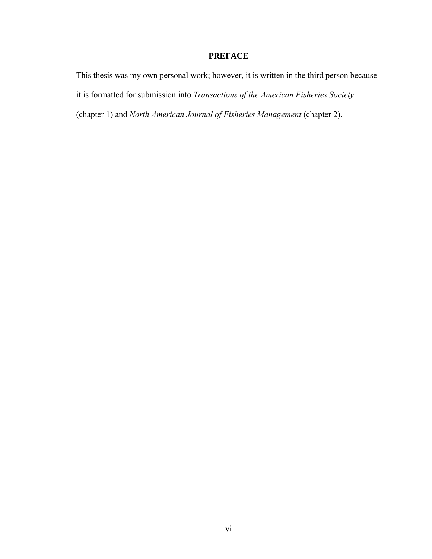## **PREFACE**

This thesis was my own personal work; however, it is written in the third person because it is formatted for submission into *Transactions of the American Fisheries Society* (chapter 1) and *North American Journal of Fisheries Management* (chapter 2).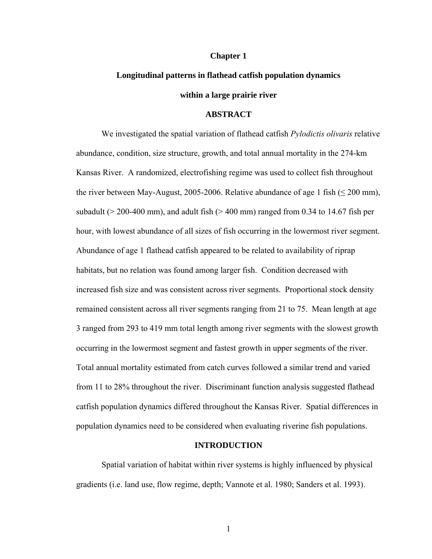#### **Chapter 1**

# **Longitudinal patterns in flathead catfish population dynamics within a large prairie river**

#### **ABSTRACT**

 We investigated the spatial variation of flathead catfish *Pylodictis olivaris* relative abundance, condition, size structure, growth, and total annual mortality in the 274-km Kansas River. A randomized, electrofishing regime was used to collect fish throughout the river between May-August, 2005-2006. Relative abundance of age 1 fish ( $\leq$  200 mm), subadult ( $>$  200-400 mm), and adult fish ( $>$  400 mm) ranged from 0.34 to 14.67 fish per hour, with lowest abundance of all sizes of fish occurring in the lowermost river segment. Abundance of age 1 flathead catfish appeared to be related to availability of riprap habitats, but no relation was found among larger fish. Condition decreased with increased fish size and was consistent across river segments. Proportional stock density remained consistent across all river segments ranging from 21 to 75. Mean length at age 3 ranged from 293 to 419 mm total length among river segments with the slowest growth occurring in the lowermost segment and fastest growth in upper segments of the river. Total annual mortality estimated from catch curves followed a similar trend and varied from 11 to 28% throughout the river. Discriminant function analysis suggested flathead catfish population dynamics differed throughout the Kansas River. Spatial differences in population dynamics need to be considered when evaluating riverine fish populations.

### **INTRODUCTION**

Spatial variation of habitat within river systems is highly influenced by physical gradients (i.e. land use, flow regime, depth; Vannote et al. 1980; Sanders et al. 1993).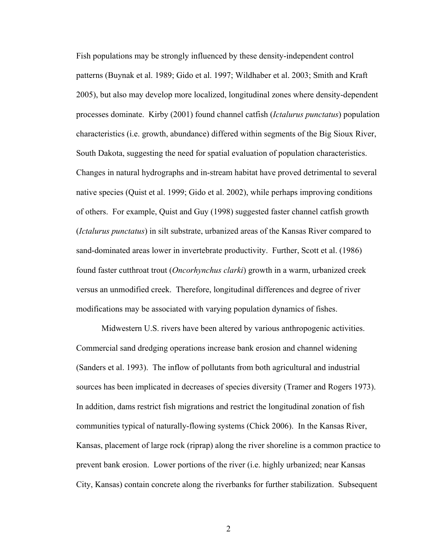Fish populations may be strongly influenced by these density-independent control patterns (Buynak et al. 1989; Gido et al. 1997; Wildhaber et al. 2003; Smith and Kraft 2005), but also may develop more localized, longitudinal zones where density-dependent processes dominate. Kirby (2001) found channel catfish (*Ictalurus punctatus*) population characteristics (i.e. growth, abundance) differed within segments of the Big Sioux River, South Dakota, suggesting the need for spatial evaluation of population characteristics. Changes in natural hydrographs and in-stream habitat have proved detrimental to several native species (Quist et al. 1999; Gido et al. 2002), while perhaps improving conditions of others. For example, Quist and Guy (1998) suggested faster channel catfish growth (*Ictalurus punctatus*) in silt substrate, urbanized areas of the Kansas River compared to sand-dominated areas lower in invertebrate productivity. Further, Scott et al. (1986) found faster cutthroat trout (*Oncorhynchus clarki*) growth in a warm, urbanized creek versus an unmodified creek. Therefore, longitudinal differences and degree of river modifications may be associated with varying population dynamics of fishes.

Midwestern U.S. rivers have been altered by various anthropogenic activities. Commercial sand dredging operations increase bank erosion and channel widening (Sanders et al. 1993). The inflow of pollutants from both agricultural and industrial sources has been implicated in decreases of species diversity (Tramer and Rogers 1973). In addition, dams restrict fish migrations and restrict the longitudinal zonation of fish communities typical of naturally-flowing systems (Chick 2006). In the Kansas River, Kansas, placement of large rock (riprap) along the river shoreline is a common practice to prevent bank erosion. Lower portions of the river (i.e. highly urbanized; near Kansas City, Kansas) contain concrete along the riverbanks for further stabilization. Subsequent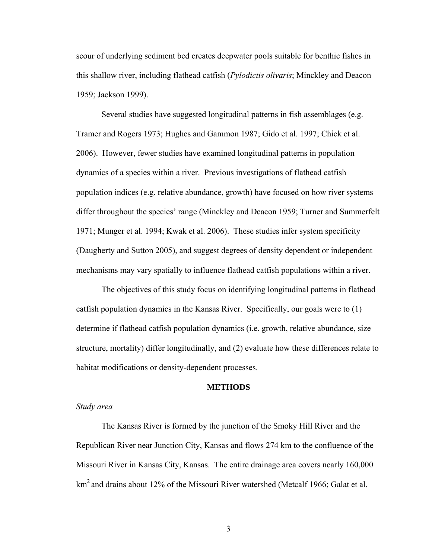scour of underlying sediment bed creates deepwater pools suitable for benthic fishes in this shallow river, including flathead catfish (*Pylodictis olivaris*; Minckley and Deacon 1959; Jackson 1999).

Several studies have suggested longitudinal patterns in fish assemblages (e.g. Tramer and Rogers 1973; Hughes and Gammon 1987; Gido et al. 1997; Chick et al. 2006). However, fewer studies have examined longitudinal patterns in population dynamics of a species within a river. Previous investigations of flathead catfish population indices (e.g. relative abundance, growth) have focused on how river systems differ throughout the species' range (Minckley and Deacon 1959; Turner and Summerfelt 1971; Munger et al. 1994; Kwak et al. 2006). These studies infer system specificity (Daugherty and Sutton 2005), and suggest degrees of density dependent or independent mechanisms may vary spatially to influence flathead catfish populations within a river.

The objectives of this study focus on identifying longitudinal patterns in flathead catfish population dynamics in the Kansas River. Specifically, our goals were to (1) determine if flathead catfish population dynamics (i.e. growth, relative abundance, size structure, mortality) differ longitudinally, and (2) evaluate how these differences relate to habitat modifications or density-dependent processes.

#### **METHODS**

#### *Study area*

 The Kansas River is formed by the junction of the Smoky Hill River and the Republican River near Junction City, Kansas and flows 274 km to the confluence of the Missouri River in Kansas City, Kansas. The entire drainage area covers nearly 160,000 km<sup>2</sup> and drains about 12% of the Missouri River watershed (Metcalf 1966; Galat et al.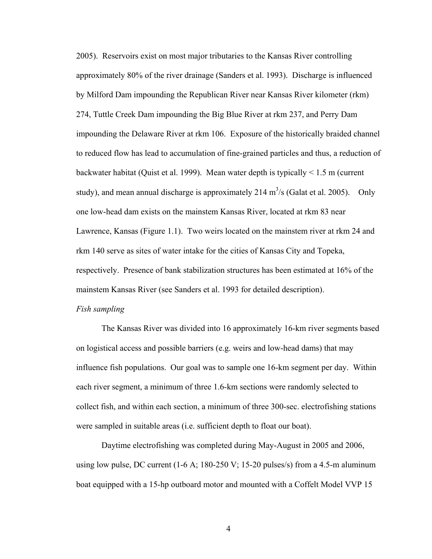2005). Reservoirs exist on most major tributaries to the Kansas River controlling approximately 80% of the river drainage (Sanders et al. 1993). Discharge is influenced by Milford Dam impounding the Republican River near Kansas River kilometer (rkm) 274, Tuttle Creek Dam impounding the Big Blue River at rkm 237, and Perry Dam impounding the Delaware River at rkm 106. Exposure of the historically braided channel to reduced flow has lead to accumulation of fine-grained particles and thus, a reduction of backwater habitat (Quist et al. 1999). Mean water depth is typically < 1.5 m (current study), and mean annual discharge is approximately 214 m<sup>3</sup>/s (Galat et al. 2005). Only one low-head dam exists on the mainstem Kansas River, located at rkm 83 near Lawrence, Kansas (Figure 1.1). Two weirs located on the mainstem river at rkm 24 and rkm 140 serve as sites of water intake for the cities of Kansas City and Topeka, respectively. Presence of bank stabilization structures has been estimated at 16% of the mainstem Kansas River (see Sanders et al. 1993 for detailed description).

#### *Fish sampling*

 The Kansas River was divided into 16 approximately 16-km river segments based on logistical access and possible barriers (e.g. weirs and low-head dams) that may influence fish populations. Our goal was to sample one 16-km segment per day. Within each river segment, a minimum of three 1.6-km sections were randomly selected to collect fish, and within each section, a minimum of three 300-sec. electrofishing stations were sampled in suitable areas (i.e. sufficient depth to float our boat).

 Daytime electrofishing was completed during May-August in 2005 and 2006, using low pulse, DC current  $(1-6 \text{ A}; 180-250 \text{ V}; 15-20 \text{ pulses/s})$  from a 4.5-m aluminum boat equipped with a 15-hp outboard motor and mounted with a Coffelt Model VVP 15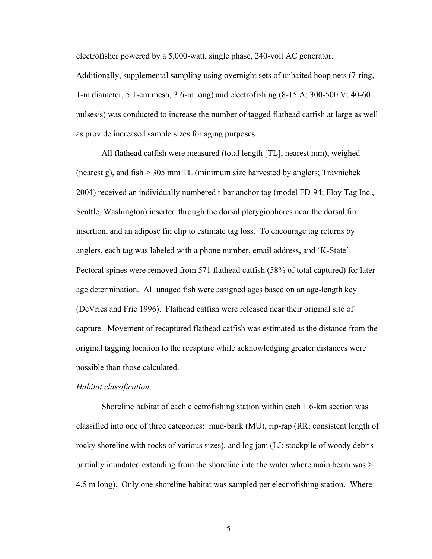electrofisher powered by a 5,000-watt, single phase, 240-volt AC generator.

Additionally, supplemental sampling using overnight sets of unbaited hoop nets (7-ring, 1-m diameter, 5.1-cm mesh, 3.6-m long) and electrofishing (8-15 A; 300-500 V; 40-60 pulses/s) was conducted to increase the number of tagged flathead catfish at large as well as provide increased sample sizes for aging purposes.

 All flathead catfish were measured (total length [TL], nearest mm), weighed (nearest g), and fish > 305 mm TL (minimum size harvested by anglers; Travnichek 2004) received an individually numbered t-bar anchor tag (model FD-94; Floy Tag Inc., Seattle, Washington) inserted through the dorsal pterygiophores near the dorsal fin insertion, and an adipose fin clip to estimate tag loss. To encourage tag returns by anglers, each tag was labeled with a phone number, email address, and 'K-State'. Pectoral spines were removed from 571 flathead catfish (58% of total captured) for later age determination. All unaged fish were assigned ages based on an age-length key (DeVries and Frie 1996). Flathead catfish were released near their original site of capture. Movement of recaptured flathead catfish was estimated as the distance from the original tagging location to the recapture while acknowledging greater distances were possible than those calculated.

#### *Habitat classification*

 Shoreline habitat of each electrofishing station within each 1.6-km section was classified into one of three categories: mud-bank (MU), rip-rap (RR; consistent length of rocky shoreline with rocks of various sizes), and log jam (LJ; stockpile of woody debris partially inundated extending from the shoreline into the water where main beam was > 4.5 m long). Only one shoreline habitat was sampled per electrofishing station. Where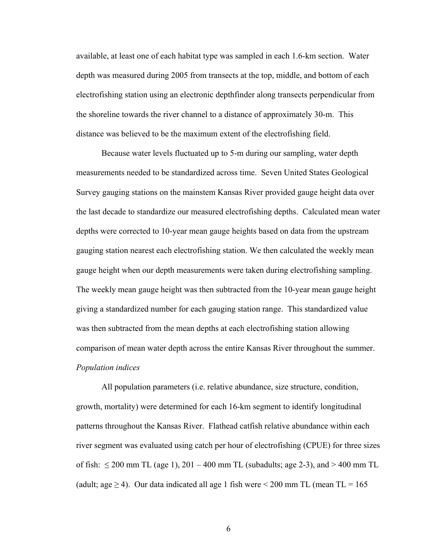available, at least one of each habitat type was sampled in each 1.6-km section. Water depth was measured during 2005 from transects at the top, middle, and bottom of each electrofishing station using an electronic depthfinder along transects perpendicular from the shoreline towards the river channel to a distance of approximately 30-m. This distance was believed to be the maximum extent of the electrofishing field.

 Because water levels fluctuated up to 5-m during our sampling, water depth measurements needed to be standardized across time. Seven United States Geological Survey gauging stations on the mainstem Kansas River provided gauge height data over the last decade to standardize our measured electrofishing depths. Calculated mean water depths were corrected to 10-year mean gauge heights based on data from the upstream gauging station nearest each electrofishing station. We then calculated the weekly mean gauge height when our depth measurements were taken during electrofishing sampling. The weekly mean gauge height was then subtracted from the 10-year mean gauge height giving a standardized number for each gauging station range. This standardized value was then subtracted from the mean depths at each electrofishing station allowing comparison of mean water depth across the entire Kansas River throughout the summer. *Population indices* 

All population parameters (i.e. relative abundance, size structure, condition, growth, mortality) were determined for each 16-km segment to identify longitudinal patterns throughout the Kansas River. Flathead catfish relative abundance within each river segment was evaluated using catch per hour of electrofishing (CPUE) for three sizes of fish:  $\leq$  200 mm TL (age 1), 201 – 400 mm TL (subadults; age 2-3), and > 400 mm TL (adult; age  $\geq$  4). Our data indicated all age 1 fish were < 200 mm TL (mean TL = 165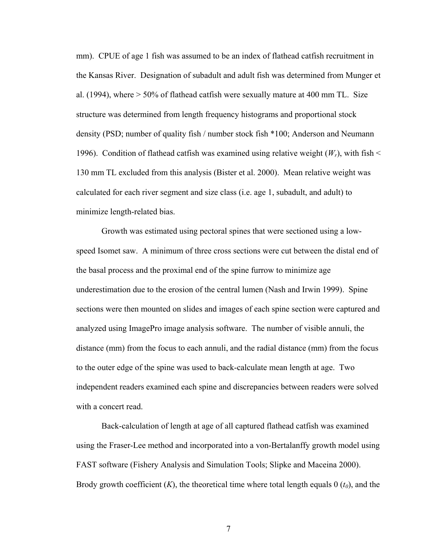mm). CPUE of age 1 fish was assumed to be an index of flathead catfish recruitment in the Kansas River. Designation of subadult and adult fish was determined from Munger et al. (1994), where  $> 50\%$  of flathead catfish were sexually mature at 400 mm TL. Size structure was determined from length frequency histograms and proportional stock density (PSD; number of quality fish / number stock fish \*100; Anderson and Neumann 1996). Condition of flathead catfish was examined using relative weight  $(W_r)$ , with fish  $\leq$ 130 mm TL excluded from this analysis (Bister et al. 2000). Mean relative weight was calculated for each river segment and size class (i.e. age 1, subadult, and adult) to minimize length-related bias.

Growth was estimated using pectoral spines that were sectioned using a lowspeed Isomet saw. A minimum of three cross sections were cut between the distal end of the basal process and the proximal end of the spine furrow to minimize age underestimation due to the erosion of the central lumen (Nash and Irwin 1999). Spine sections were then mounted on slides and images of each spine section were captured and analyzed using ImagePro image analysis software. The number of visible annuli, the distance (mm) from the focus to each annuli, and the radial distance (mm) from the focus to the outer edge of the spine was used to back-calculate mean length at age. Two independent readers examined each spine and discrepancies between readers were solved with a concert read.

Back-calculation of length at age of all captured flathead catfish was examined using the Fraser-Lee method and incorporated into a von-Bertalanffy growth model using FAST software (Fishery Analysis and Simulation Tools; Slipke and Maceina 2000). Brody growth coefficient  $(K)$ , the theoretical time where total length equals  $0(t_0)$ , and the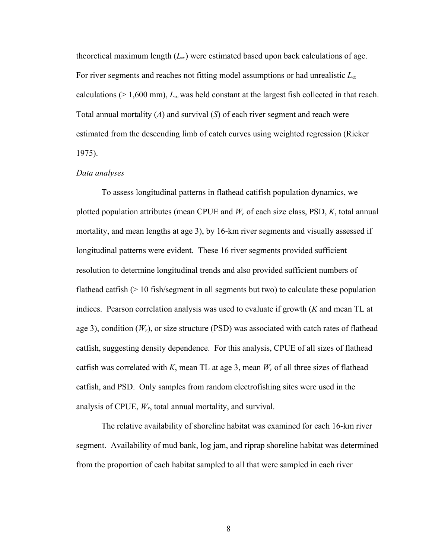theoretical maximum length  $(L_{\infty})$  were estimated based upon back calculations of age. For river segments and reaches not fitting model assumptions or had unrealistic *L<sup>∞</sup>* calculations ( $> 1,600$  mm),  $L_{\infty}$  was held constant at the largest fish collected in that reach. Total annual mortality (*A*) and survival (*S*) of each river segment and reach were estimated from the descending limb of catch curves using weighted regression (Ricker 1975).

#### *Data analyses*

 To assess longitudinal patterns in flathead catifish population dynamics, we plotted population attributes (mean CPUE and *Wr* of each size class, PSD, *K*, total annual mortality, and mean lengths at age 3), by 16-km river segments and visually assessed if longitudinal patterns were evident. These 16 river segments provided sufficient resolution to determine longitudinal trends and also provided sufficient numbers of flathead catfish (> 10 fish/segment in all segments but two) to calculate these population indices. Pearson correlation analysis was used to evaluate if growth (*K* and mean TL at age 3), condition  $(W_r)$ , or size structure (PSD) was associated with catch rates of flathead catfish, suggesting density dependence. For this analysis, CPUE of all sizes of flathead catfish was correlated with *K*, mean TL at age 3, mean *Wr* of all three sizes of flathead catfish, and PSD. Only samples from random electrofishing sites were used in the analysis of CPUE, *Wr*, total annual mortality, and survival.

 The relative availability of shoreline habitat was examined for each 16-km river segment. Availability of mud bank, log jam, and riprap shoreline habitat was determined from the proportion of each habitat sampled to all that were sampled in each river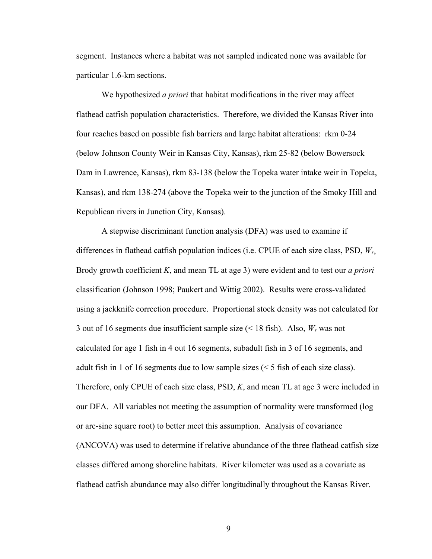segment. Instances where a habitat was not sampled indicated none was available for particular 1.6-km sections.

We hypothesized *a priori* that habitat modifications in the river may affect flathead catfish population characteristics. Therefore, we divided the Kansas River into four reaches based on possible fish barriers and large habitat alterations: rkm 0-24 (below Johnson County Weir in Kansas City, Kansas), rkm 25-82 (below Bowersock Dam in Lawrence, Kansas), rkm 83-138 (below the Topeka water intake weir in Topeka, Kansas), and rkm 138-274 (above the Topeka weir to the junction of the Smoky Hill and Republican rivers in Junction City, Kansas).

A stepwise discriminant function analysis (DFA) was used to examine if differences in flathead catfish population indices (i.e. CPUE of each size class, PSD, *Wr*, Brody growth coefficient *K*, and mean TL at age 3) were evident and to test our *a priori* classification (Johnson 1998; Paukert and Wittig 2002). Results were cross-validated using a jackknife correction procedure. Proportional stock density was not calculated for 3 out of 16 segments due insufficient sample size (< 18 fish). Also, *Wr* was not calculated for age 1 fish in 4 out 16 segments, subadult fish in 3 of 16 segments, and adult fish in 1 of 16 segments due to low sample sizes (< 5 fish of each size class). Therefore, only CPUE of each size class, PSD, *K*, and mean TL at age 3 were included in our DFA. All variables not meeting the assumption of normality were transformed (log or arc-sine square root) to better meet this assumption. Analysis of covariance (ANCOVA) was used to determine if relative abundance of the three flathead catfish size classes differed among shoreline habitats. River kilometer was used as a covariate as flathead catfish abundance may also differ longitudinally throughout the Kansas River.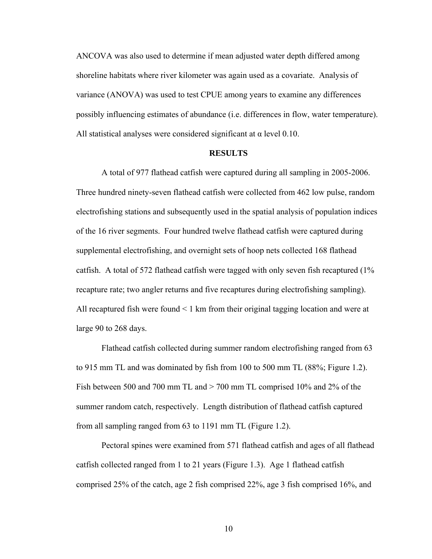ANCOVA was also used to determine if mean adjusted water depth differed among shoreline habitats where river kilometer was again used as a covariate. Analysis of variance (ANOVA) was used to test CPUE among years to examine any differences possibly influencing estimates of abundance (i.e. differences in flow, water temperature). All statistical analyses were considered significant at  $\alpha$  level 0.10.

#### **RESULTS**

 A total of 977 flathead catfish were captured during all sampling in 2005-2006. Three hundred ninety-seven flathead catfish were collected from 462 low pulse, random electrofishing stations and subsequently used in the spatial analysis of population indices of the 16 river segments. Four hundred twelve flathead catfish were captured during supplemental electrofishing, and overnight sets of hoop nets collected 168 flathead catfish. A total of 572 flathead catfish were tagged with only seven fish recaptured (1% recapture rate; two angler returns and five recaptures during electrofishing sampling). All recaptured fish were found < 1 km from their original tagging location and were at large 90 to 268 days.

 Flathead catfish collected during summer random electrofishing ranged from 63 to 915 mm TL and was dominated by fish from 100 to 500 mm TL (88%; Figure 1.2). Fish between 500 and 700 mm TL and > 700 mm TL comprised 10% and 2% of the summer random catch, respectively. Length distribution of flathead catfish captured from all sampling ranged from 63 to 1191 mm TL (Figure 1.2).

Pectoral spines were examined from 571 flathead catfish and ages of all flathead catfish collected ranged from 1 to 21 years (Figure 1.3). Age 1 flathead catfish comprised 25% of the catch, age 2 fish comprised 22%, age 3 fish comprised 16%, and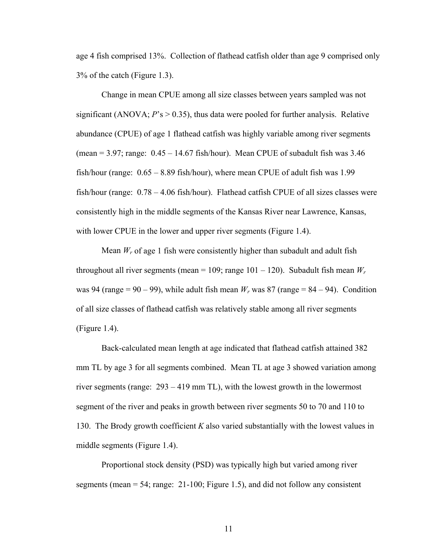age 4 fish comprised 13%. Collection of flathead catfish older than age 9 comprised only 3% of the catch (Figure 1.3).

 Change in mean CPUE among all size classes between years sampled was not significant (ANOVA;  $P$ 's  $> 0.35$ ), thus data were pooled for further analysis. Relative abundance (CPUE) of age 1 flathead catfish was highly variable among river segments (mean  $=$  3.97; range: 0.45 – 14.67 fish/hour). Mean CPUE of subadult fish was 3.46 fish/hour (range: 0.65 – 8.89 fish/hour), where mean CPUE of adult fish was 1.99 fish/hour (range: 0.78 – 4.06 fish/hour). Flathead catfish CPUE of all sizes classes were consistently high in the middle segments of the Kansas River near Lawrence, Kansas, with lower CPUE in the lower and upper river segments (Figure 1.4).

Mean  $W_r$  of age 1 fish were consistently higher than subadult and adult fish throughout all river segments (mean =  $109$ ; range  $101 - 120$ ). Subadult fish mean  $W_r$ was 94 (range = 90 – 99), while adult fish mean  $W_r$  was 87 (range = 84 – 94). Condition of all size classes of flathead catfish was relatively stable among all river segments (Figure 1.4).

Back-calculated mean length at age indicated that flathead catfish attained 382 mm TL by age 3 for all segments combined. Mean TL at age 3 showed variation among river segments (range: 293 – 419 mm TL), with the lowest growth in the lowermost segment of the river and peaks in growth between river segments 50 to 70 and 110 to 130. The Brody growth coefficient *K* also varied substantially with the lowest values in middle segments (Figure 1.4).

Proportional stock density (PSD) was typically high but varied among river segments (mean = 54; range: 21-100; Figure 1.5), and did not follow any consistent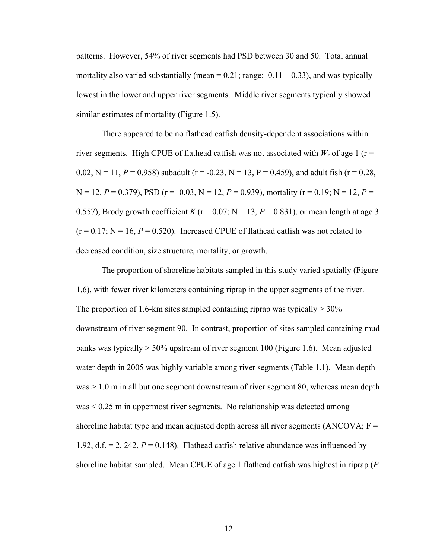patterns. However, 54% of river segments had PSD between 30 and 50. Total annual mortality also varied substantially (mean =  $0.21$ ; range:  $0.11 - 0.33$ ), and was typically lowest in the lower and upper river segments. Middle river segments typically showed similar estimates of mortality (Figure 1.5).

There appeared to be no flathead catfish density-dependent associations within river segments. High CPUE of flathead catfish was not associated with  $W_r$  of age 1 ( $r =$ 0.02,  $N = 11$ ,  $P = 0.958$ ) subadult ( $r = -0.23$ ,  $N = 13$ ,  $P = 0.459$ ), and adult fish ( $r = 0.28$ ,  $N = 12$ ,  $P = 0.379$ ), PSD ( $r = -0.03$ ,  $N = 12$ ,  $P = 0.939$ ), mortality ( $r = 0.19$ ;  $N = 12$ ,  $P =$ 0.557), Brody growth coefficient *K* ( $r = 0.07$ ; N = 13, *P* = 0.831), or mean length at age 3  $(r = 0.17; N = 16, P = 0.520)$ . Increased CPUE of flathead catfish was not related to decreased condition, size structure, mortality, or growth.

The proportion of shoreline habitats sampled in this study varied spatially (Figure 1.6), with fewer river kilometers containing riprap in the upper segments of the river. The proportion of 1.6-km sites sampled containing riprap was typically  $> 30\%$ downstream of river segment 90. In contrast, proportion of sites sampled containing mud banks was typically  $> 50\%$  upstream of river segment 100 (Figure 1.6). Mean adjusted water depth in 2005 was highly variable among river segments (Table 1.1). Mean depth was > 1.0 m in all but one segment downstream of river segment 80, whereas mean depth was < 0.25 m in uppermost river segments. No relationship was detected among shoreline habitat type and mean adjusted depth across all river segments (ANCOVA;  $F =$ 1.92, d.f.  $= 2$ , 242,  $P = 0.148$ ). Flathead catfish relative abundance was influenced by shoreline habitat sampled. Mean CPUE of age 1 flathead catfish was highest in riprap (*P*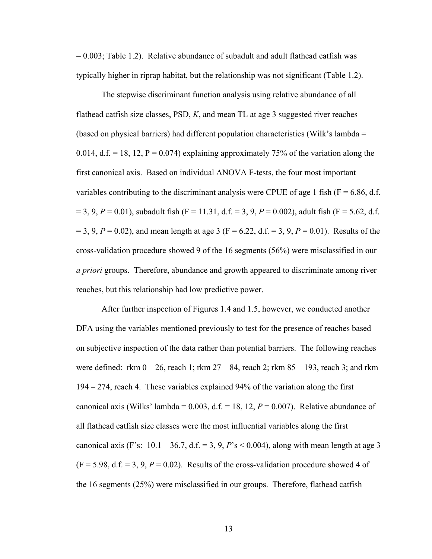$= 0.003$ ; Table 1.2). Relative abundance of subadult and adult flathead catfish was typically higher in riprap habitat, but the relationship was not significant (Table 1.2).

The stepwise discriminant function analysis using relative abundance of all flathead catfish size classes, PSD, *K*, and mean TL at age 3 suggested river reaches (based on physical barriers) had different population characteristics (Wilk's lambda = 0.014, d.f. = 18, 12,  $P = 0.074$ ) explaining approximately 75% of the variation along the first canonical axis. Based on individual ANOVA F-tests, the four most important variables contributing to the discriminant analysis were CPUE of age 1 fish ( $F = 6.86$ , d.f.  $= 3, 9, P = 0.01$ ), subadult fish (F = 11.31, d.f. = 3, 9, P = 0.002), adult fish (F = 5.62, d.f.  $= 3, 9, P = 0.02$ , and mean length at age 3 (F = 6.22, d.f. = 3, 9, P = 0.01). Results of the cross-validation procedure showed 9 of the 16 segments (56%) were misclassified in our *a priori* groups. Therefore, abundance and growth appeared to discriminate among river reaches, but this relationship had low predictive power.

 After further inspection of Figures 1.4 and 1.5, however, we conducted another DFA using the variables mentioned previously to test for the presence of reaches based on subjective inspection of the data rather than potential barriers. The following reaches were defined: rkm  $0 - 26$ , reach 1; rkm  $27 - 84$ , reach 2; rkm  $85 - 193$ , reach 3; and rkm 194 – 274, reach 4. These variables explained 94% of the variation along the first canonical axis (Wilks' lambda =  $0.003$ , d.f. = 18, 12,  $P = 0.007$ ). Relative abundance of all flathead catfish size classes were the most influential variables along the first canonical axis (F's:  $10.1 - 36.7$ , d.f. = 3, 9, *P*'s < 0.004), along with mean length at age 3  $(F = 5.98, d.f. = 3, 9, P = 0.02)$ . Results of the cross-validation procedure showed 4 of the 16 segments (25%) were misclassified in our groups. Therefore, flathead catfish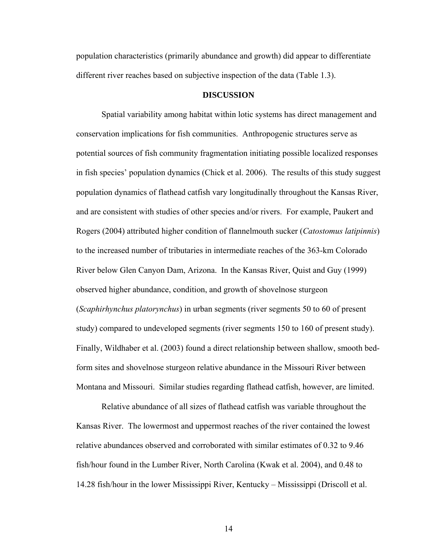population characteristics (primarily abundance and growth) did appear to differentiate different river reaches based on subjective inspection of the data (Table 1.3).

#### **DISCUSSION**

 Spatial variability among habitat within lotic systems has direct management and conservation implications for fish communities. Anthropogenic structures serve as potential sources of fish community fragmentation initiating possible localized responses in fish species' population dynamics (Chick et al. 2006). The results of this study suggest population dynamics of flathead catfish vary longitudinally throughout the Kansas River, and are consistent with studies of other species and/or rivers. For example, Paukert and Rogers (2004) attributed higher condition of flannelmouth sucker (*Catostomus latipinnis*) to the increased number of tributaries in intermediate reaches of the 363-km Colorado River below Glen Canyon Dam, Arizona. In the Kansas River, Quist and Guy (1999) observed higher abundance, condition, and growth of shovelnose sturgeon (*Scaphirhynchus platorynchus*) in urban segments (river segments 50 to 60 of present study) compared to undeveloped segments (river segments 150 to 160 of present study). Finally, Wildhaber et al. (2003) found a direct relationship between shallow, smooth bedform sites and shovelnose sturgeon relative abundance in the Missouri River between Montana and Missouri. Similar studies regarding flathead catfish, however, are limited.

Relative abundance of all sizes of flathead catfish was variable throughout the Kansas River. The lowermost and uppermost reaches of the river contained the lowest relative abundances observed and corroborated with similar estimates of 0.32 to 9.46 fish/hour found in the Lumber River, North Carolina (Kwak et al. 2004), and 0.48 to 14.28 fish/hour in the lower Mississippi River, Kentucky – Mississippi (Driscoll et al.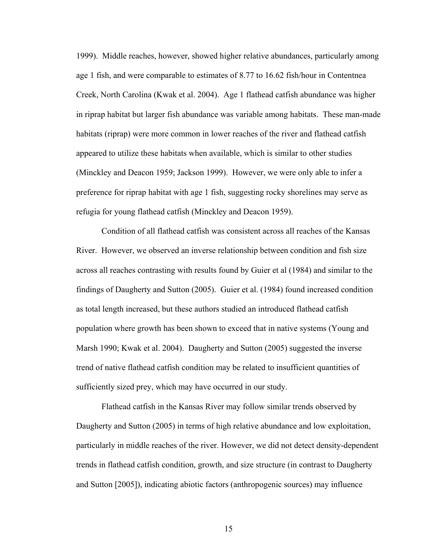1999). Middle reaches, however, showed higher relative abundances, particularly among age 1 fish, and were comparable to estimates of 8.77 to 16.62 fish/hour in Contentnea Creek, North Carolina (Kwak et al. 2004). Age 1 flathead catfish abundance was higher in riprap habitat but larger fish abundance was variable among habitats. These man-made habitats (riprap) were more common in lower reaches of the river and flathead catfish appeared to utilize these habitats when available, which is similar to other studies (Minckley and Deacon 1959; Jackson 1999). However, we were only able to infer a preference for riprap habitat with age 1 fish, suggesting rocky shorelines may serve as refugia for young flathead catfish (Minckley and Deacon 1959).

Condition of all flathead catfish was consistent across all reaches of the Kansas River. However, we observed an inverse relationship between condition and fish size across all reaches contrasting with results found by Guier et al (1984) and similar to the findings of Daugherty and Sutton (2005). Guier et al. (1984) found increased condition as total length increased, but these authors studied an introduced flathead catfish population where growth has been shown to exceed that in native systems (Young and Marsh 1990; Kwak et al. 2004). Daugherty and Sutton (2005) suggested the inverse trend of native flathead catfish condition may be related to insufficient quantities of sufficiently sized prey, which may have occurred in our study.

Flathead catfish in the Kansas River may follow similar trends observed by Daugherty and Sutton (2005) in terms of high relative abundance and low exploitation, particularly in middle reaches of the river. However, we did not detect density-dependent trends in flathead catfish condition, growth, and size structure (in contrast to Daugherty and Sutton [2005]), indicating abiotic factors (anthropogenic sources) may influence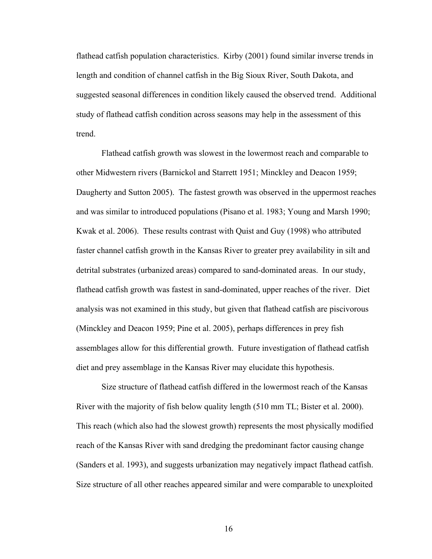flathead catfish population characteristics. Kirby (2001) found similar inverse trends in length and condition of channel catfish in the Big Sioux River, South Dakota, and suggested seasonal differences in condition likely caused the observed trend. Additional study of flathead catfish condition across seasons may help in the assessment of this trend.

Flathead catfish growth was slowest in the lowermost reach and comparable to other Midwestern rivers (Barnickol and Starrett 1951; Minckley and Deacon 1959; Daugherty and Sutton 2005). The fastest growth was observed in the uppermost reaches and was similar to introduced populations (Pisano et al. 1983; Young and Marsh 1990; Kwak et al. 2006). These results contrast with Quist and Guy (1998) who attributed faster channel catfish growth in the Kansas River to greater prey availability in silt and detrital substrates (urbanized areas) compared to sand-dominated areas. In our study, flathead catfish growth was fastest in sand-dominated, upper reaches of the river. Diet analysis was not examined in this study, but given that flathead catfish are piscivorous (Minckley and Deacon 1959; Pine et al. 2005), perhaps differences in prey fish assemblages allow for this differential growth. Future investigation of flathead catfish diet and prey assemblage in the Kansas River may elucidate this hypothesis.

Size structure of flathead catfish differed in the lowermost reach of the Kansas River with the majority of fish below quality length (510 mm TL; Bister et al. 2000). This reach (which also had the slowest growth) represents the most physically modified reach of the Kansas River with sand dredging the predominant factor causing change (Sanders et al. 1993), and suggests urbanization may negatively impact flathead catfish. Size structure of all other reaches appeared similar and were comparable to unexploited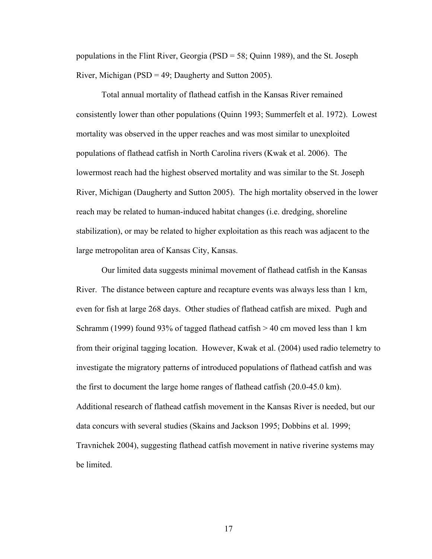populations in the Flint River, Georgia (PSD = 58; Quinn 1989), and the St. Joseph River, Michigan (PSD = 49; Daugherty and Sutton 2005).

Total annual mortality of flathead catfish in the Kansas River remained consistently lower than other populations (Quinn 1993; Summerfelt et al. 1972). Lowest mortality was observed in the upper reaches and was most similar to unexploited populations of flathead catfish in North Carolina rivers (Kwak et al. 2006). The lowermost reach had the highest observed mortality and was similar to the St. Joseph River, Michigan (Daugherty and Sutton 2005). The high mortality observed in the lower reach may be related to human-induced habitat changes (i.e. dredging, shoreline stabilization), or may be related to higher exploitation as this reach was adjacent to the large metropolitan area of Kansas City, Kansas.

Our limited data suggests minimal movement of flathead catfish in the Kansas River. The distance between capture and recapture events was always less than 1 km, even for fish at large 268 days. Other studies of flathead catfish are mixed. Pugh and Schramm (1999) found 93% of tagged flathead catfish > 40 cm moved less than 1 km from their original tagging location. However, Kwak et al. (2004) used radio telemetry to investigate the migratory patterns of introduced populations of flathead catfish and was the first to document the large home ranges of flathead catfish (20.0-45.0 km). Additional research of flathead catfish movement in the Kansas River is needed, but our data concurs with several studies (Skains and Jackson 1995; Dobbins et al. 1999; Travnichek 2004), suggesting flathead catfish movement in native riverine systems may be limited.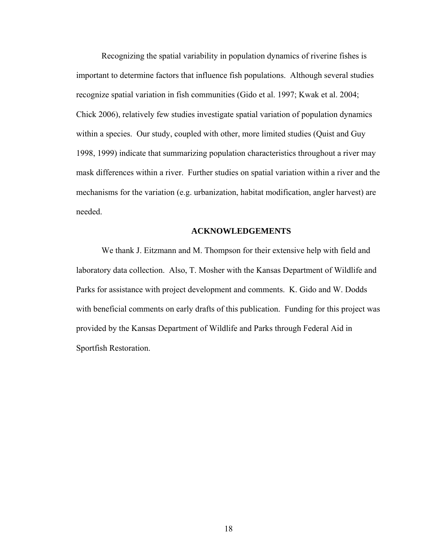Recognizing the spatial variability in population dynamics of riverine fishes is important to determine factors that influence fish populations. Although several studies recognize spatial variation in fish communities (Gido et al. 1997; Kwak et al. 2004; Chick 2006), relatively few studies investigate spatial variation of population dynamics within a species. Our study, coupled with other, more limited studies (Quist and Guy 1998, 1999) indicate that summarizing population characteristics throughout a river may mask differences within a river. Further studies on spatial variation within a river and the mechanisms for the variation (e.g. urbanization, habitat modification, angler harvest) are needed.

#### **ACKNOWLEDGEMENTS**

 We thank J. Eitzmann and M. Thompson for their extensive help with field and laboratory data collection. Also, T. Mosher with the Kansas Department of Wildlife and Parks for assistance with project development and comments. K. Gido and W. Dodds with beneficial comments on early drafts of this publication. Funding for this project was provided by the Kansas Department of Wildlife and Parks through Federal Aid in Sportfish Restoration.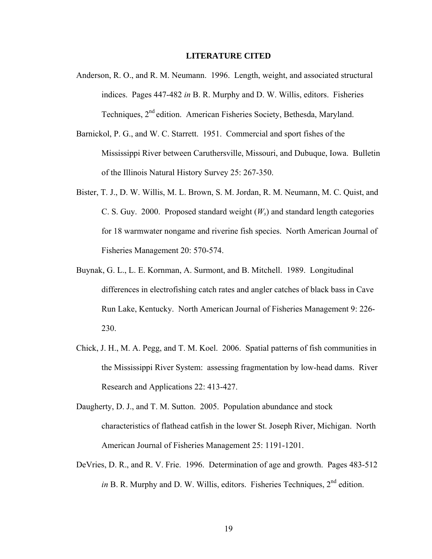#### **LITERATURE CITED**

- Anderson, R. O., and R. M. Neumann. 1996. Length, weight, and associated structural indices. Pages 447-482 *in* B. R. Murphy and D. W. Willis, editors. Fisheries Techniques, 2<sup>nd</sup> edition. American Fisheries Society, Bethesda, Maryland.
- Barnickol, P. G., and W. C. Starrett. 1951. Commercial and sport fishes of the Mississippi River between Caruthersville, Missouri, and Dubuque, Iowa. Bulletin of the Illinois Natural History Survey 25: 267-350.
- Bister, T. J., D. W. Willis, M. L. Brown, S. M. Jordan, R. M. Neumann, M. C. Quist, and C. S. Guy. 2000. Proposed standard weight (*Ws*) and standard length categories for 18 warmwater nongame and riverine fish species. North American Journal of Fisheries Management 20: 570-574.
- Buynak, G. L., L. E. Kornman, A. Surmont, and B. Mitchell. 1989. Longitudinal differences in electrofishing catch rates and angler catches of black bass in Cave Run Lake, Kentucky. North American Journal of Fisheries Management 9: 226- 230.
- Chick, J. H., M. A. Pegg, and T. M. Koel. 2006. Spatial patterns of fish communities in the Mississippi River System: assessing fragmentation by low-head dams. River Research and Applications 22: 413-427.
- Daugherty, D. J., and T. M. Sutton. 2005. Population abundance and stock characteristics of flathead catfish in the lower St. Joseph River, Michigan. North American Journal of Fisheries Management 25: 1191-1201.
- DeVries, D. R., and R. V. Frie. 1996. Determination of age and growth. Pages 483-512 *in* B. R. Murphy and D. W. Willis, editors. Fisheries Techniques,  $2<sup>nd</sup>$  edition.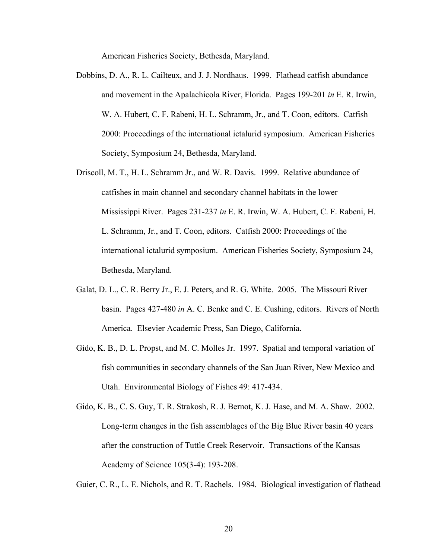American Fisheries Society, Bethesda, Maryland.

- Dobbins, D. A., R. L. Cailteux, and J. J. Nordhaus. 1999. Flathead catfish abundance and movement in the Apalachicola River, Florida. Pages 199-201 *in* E. R. Irwin, W. A. Hubert, C. F. Rabeni, H. L. Schramm, Jr., and T. Coon, editors. Catfish 2000: Proceedings of the international ictalurid symposium. American Fisheries Society, Symposium 24, Bethesda, Maryland.
- Driscoll, M. T., H. L. Schramm Jr., and W. R. Davis. 1999. Relative abundance of catfishes in main channel and secondary channel habitats in the lower Mississippi River. Pages 231-237 *in* E. R. Irwin, W. A. Hubert, C. F. Rabeni, H. L. Schramm, Jr., and T. Coon, editors. Catfish 2000: Proceedings of the international ictalurid symposium. American Fisheries Society, Symposium 24, Bethesda, Maryland.
- Galat, D. L., C. R. Berry Jr., E. J. Peters, and R. G. White. 2005. The Missouri River basin. Pages 427-480 *in* A. C. Benke and C. E. Cushing, editors. Rivers of North America. Elsevier Academic Press, San Diego, California.
- Gido, K. B., D. L. Propst, and M. C. Molles Jr. 1997. Spatial and temporal variation of fish communities in secondary channels of the San Juan River, New Mexico and Utah. Environmental Biology of Fishes 49: 417-434.
- Gido, K. B., C. S. Guy, T. R. Strakosh, R. J. Bernot, K. J. Hase, and M. A. Shaw. 2002. Long-term changes in the fish assemblages of the Big Blue River basin 40 years after the construction of Tuttle Creek Reservoir. Transactions of the Kansas Academy of Science 105(3-4): 193-208.

Guier, C. R., L. E. Nichols, and R. T. Rachels. 1984. Biological investigation of flathead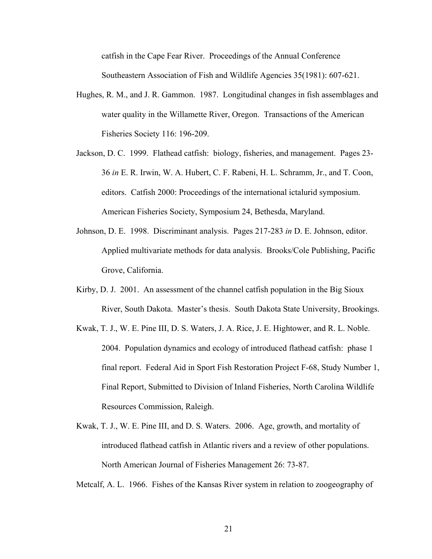catfish in the Cape Fear River. Proceedings of the Annual Conference Southeastern Association of Fish and Wildlife Agencies 35(1981): 607-621.

- Hughes, R. M., and J. R. Gammon. 1987. Longitudinal changes in fish assemblages and water quality in the Willamette River, Oregon. Transactions of the American Fisheries Society 116: 196-209.
- Jackson, D. C. 1999. Flathead catfish: biology, fisheries, and management. Pages 23- 36 *in* E. R. Irwin, W. A. Hubert, C. F. Rabeni, H. L. Schramm, Jr., and T. Coon, editors. Catfish 2000: Proceedings of the international ictalurid symposium. American Fisheries Society, Symposium 24, Bethesda, Maryland.
- Johnson, D. E. 1998. Discriminant analysis. Pages 217-283 *in* D. E. Johnson, editor. Applied multivariate methods for data analysis. Brooks/Cole Publishing, Pacific Grove, California.
- Kirby, D. J. 2001. An assessment of the channel catfish population in the Big Sioux River, South Dakota. Master's thesis. South Dakota State University, Brookings.
- Kwak, T. J., W. E. Pine III, D. S. Waters, J. A. Rice, J. E. Hightower, and R. L. Noble. 2004. Population dynamics and ecology of introduced flathead catfish: phase 1 final report. Federal Aid in Sport Fish Restoration Project F-68, Study Number 1, Final Report, Submitted to Division of Inland Fisheries, North Carolina Wildlife Resources Commission, Raleigh.
- Kwak, T. J., W. E. Pine III, and D. S. Waters. 2006. Age, growth, and mortality of introduced flathead catfish in Atlantic rivers and a review of other populations. North American Journal of Fisheries Management 26: 73-87.
- Metcalf, A. L. 1966. Fishes of the Kansas River system in relation to zoogeography of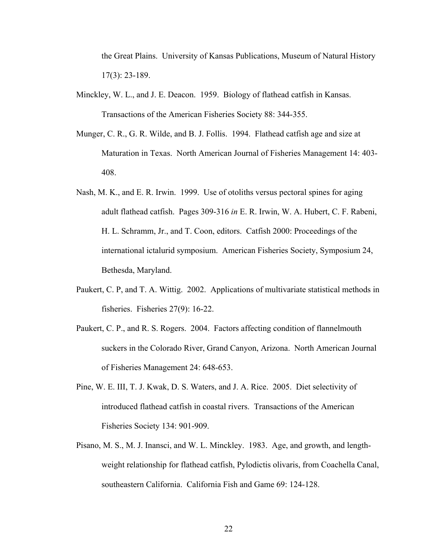the Great Plains. University of Kansas Publications, Museum of Natural History 17(3): 23-189.

- Minckley, W. L., and J. E. Deacon. 1959. Biology of flathead catfish in Kansas. Transactions of the American Fisheries Society 88: 344-355.
- Munger, C. R., G. R. Wilde, and B. J. Follis. 1994. Flathead catfish age and size at Maturation in Texas. North American Journal of Fisheries Management 14: 403- 408.
- Nash, M. K., and E. R. Irwin. 1999. Use of otoliths versus pectoral spines for aging adult flathead catfish. Pages 309-316 *in* E. R. Irwin, W. A. Hubert, C. F. Rabeni, H. L. Schramm, Jr., and T. Coon, editors. Catfish 2000: Proceedings of the international ictalurid symposium. American Fisheries Society, Symposium 24, Bethesda, Maryland.
- Paukert, C. P, and T. A. Wittig. 2002. Applications of multivariate statistical methods in fisheries. Fisheries 27(9): 16-22.
- Paukert, C. P., and R. S. Rogers. 2004. Factors affecting condition of flannelmouth suckers in the Colorado River, Grand Canyon, Arizona. North American Journal of Fisheries Management 24: 648-653.
- Pine, W. E. III, T. J. Kwak, D. S. Waters, and J. A. Rice. 2005. Diet selectivity of introduced flathead catfish in coastal rivers. Transactions of the American Fisheries Society 134: 901-909.
- Pisano, M. S., M. J. Inansci, and W. L. Minckley. 1983. Age, and growth, and lengthweight relationship for flathead catfish, Pylodictis olivaris, from Coachella Canal, southeastern California. California Fish and Game 69: 124-128.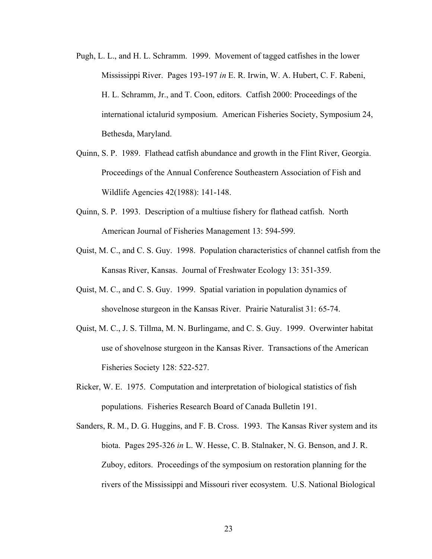- Pugh, L. L., and H. L. Schramm. 1999. Movement of tagged catfishes in the lower Mississippi River. Pages 193-197 *in* E. R. Irwin, W. A. Hubert, C. F. Rabeni, H. L. Schramm, Jr., and T. Coon, editors. Catfish 2000: Proceedings of the international ictalurid symposium. American Fisheries Society, Symposium 24, Bethesda, Maryland.
- Quinn, S. P. 1989. Flathead catfish abundance and growth in the Flint River, Georgia. Proceedings of the Annual Conference Southeastern Association of Fish and Wildlife Agencies 42(1988): 141-148.
- Quinn, S. P. 1993. Description of a multiuse fishery for flathead catfish. North American Journal of Fisheries Management 13: 594-599.
- Quist, M. C., and C. S. Guy. 1998. Population characteristics of channel catfish from the Kansas River, Kansas. Journal of Freshwater Ecology 13: 351-359.
- Quist, M. C., and C. S. Guy. 1999. Spatial variation in population dynamics of shovelnose sturgeon in the Kansas River. Prairie Naturalist 31: 65-74.
- Quist, M. C., J. S. Tillma, M. N. Burlingame, and C. S. Guy. 1999. Overwinter habitat use of shovelnose sturgeon in the Kansas River. Transactions of the American Fisheries Society 128: 522-527.
- Ricker, W. E. 1975. Computation and interpretation of biological statistics of fish populations. Fisheries Research Board of Canada Bulletin 191.
- Sanders, R. M., D. G. Huggins, and F. B. Cross. 1993. The Kansas River system and its biota. Pages 295-326 *in* L. W. Hesse, C. B. Stalnaker, N. G. Benson, and J. R. Zuboy, editors. Proceedings of the symposium on restoration planning for the rivers of the Mississippi and Missouri river ecosystem. U.S. National Biological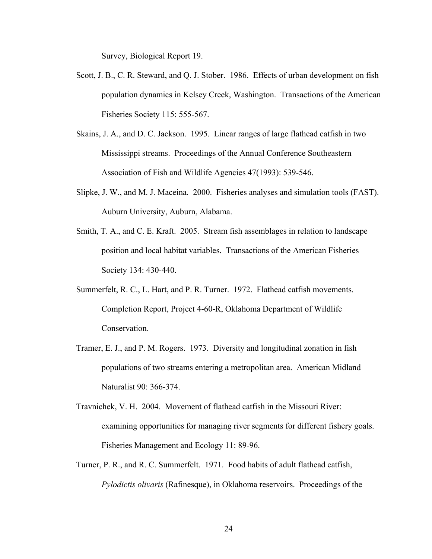Survey, Biological Report 19.

- Scott, J. B., C. R. Steward, and Q. J. Stober. 1986. Effects of urban development on fish population dynamics in Kelsey Creek, Washington. Transactions of the American Fisheries Society 115: 555-567.
- Skains, J. A., and D. C. Jackson. 1995. Linear ranges of large flathead catfish in two Mississippi streams. Proceedings of the Annual Conference Southeastern Association of Fish and Wildlife Agencies 47(1993): 539-546.
- Slipke, J. W., and M. J. Maceina. 2000. Fisheries analyses and simulation tools (FAST). Auburn University, Auburn, Alabama.
- Smith, T. A., and C. E. Kraft. 2005. Stream fish assemblages in relation to landscape position and local habitat variables. Transactions of the American Fisheries Society 134: 430-440.
- Summerfelt, R. C., L. Hart, and P. R. Turner. 1972. Flathead catfish movements. Completion Report, Project 4-60-R, Oklahoma Department of Wildlife Conservation.
- Tramer, E. J., and P. M. Rogers. 1973. Diversity and longitudinal zonation in fish populations of two streams entering a metropolitan area. American Midland Naturalist 90: 366-374.
- Travnichek, V. H. 2004. Movement of flathead catfish in the Missouri River: examining opportunities for managing river segments for different fishery goals. Fisheries Management and Ecology 11: 89-96.
- Turner, P. R., and R. C. Summerfelt. 1971. Food habits of adult flathead catfish, *Pylodictis olivaris* (Rafinesque), in Oklahoma reservoirs. Proceedings of the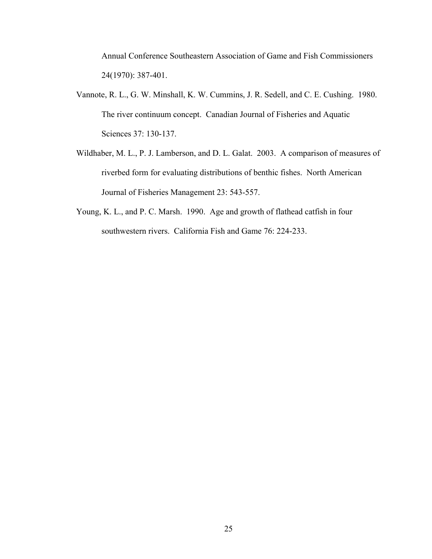Annual Conference Southeastern Association of Game and Fish Commissioners 24(1970): 387-401.

- Vannote, R. L., G. W. Minshall, K. W. Cummins, J. R. Sedell, and C. E. Cushing. 1980. The river continuum concept. Canadian Journal of Fisheries and Aquatic Sciences 37: 130-137.
- Wildhaber, M. L., P. J. Lamberson, and D. L. Galat. 2003. A comparison of measures of riverbed form for evaluating distributions of benthic fishes. North American Journal of Fisheries Management 23: 543-557.
- Young, K. L., and P. C. Marsh. 1990. Age and growth of flathead catfish in four southwestern rivers. California Fish and Game 76: 224-233.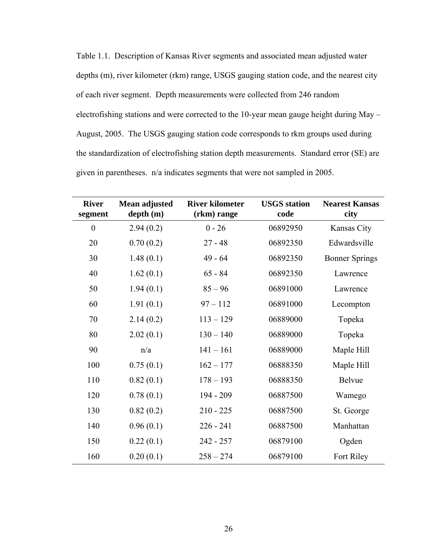Table 1.1. Description of Kansas River segments and associated mean adjusted water depths (m), river kilometer (rkm) range, USGS gauging station code, and the nearest city of each river segment. Depth measurements were collected from 246 random electrofishing stations and were corrected to the 10-year mean gauge height during May – August, 2005. The USGS gauging station code corresponds to rkm groups used during the standardization of electrofishing station depth measurements. Standard error (SE) are given in parentheses. n/a indicates segments that were not sampled in 2005.

| <b>River</b><br>segment | Mean adjusted<br>depth(m) | <b>River kilometer</b><br>(rkm) range | <b>USGS</b> station<br>code | <b>Nearest Kansas</b><br>city |
|-------------------------|---------------------------|---------------------------------------|-----------------------------|-------------------------------|
| $\boldsymbol{0}$        | 2.94(0.2)                 | $0 - 26$                              | 06892950                    | Kansas City                   |
| 20                      | 0.70(0.2)                 | $27 - 48$                             | 06892350                    | Edwardsville                  |
| 30                      | 1.48(0.1)                 | $49 - 64$                             | 06892350                    | <b>Bonner Springs</b>         |
| 40                      | 1.62(0.1)                 | $65 - 84$                             | 06892350                    | Lawrence                      |
| 50                      | 1.94(0.1)                 | $85 - 96$                             | 06891000                    | Lawrence                      |
| 60                      | 1.91(0.1)                 | $97 - 112$                            | 06891000                    | Lecompton                     |
| 70                      | 2.14(0.2)                 | $113 - 129$                           | 06889000                    | Topeka                        |
| 80                      | 2.02(0.1)                 | $130 - 140$                           | 06889000                    | Topeka                        |
| 90                      | n/a                       | $141 - 161$                           | 06889000                    | Maple Hill                    |
| 100                     | 0.75(0.1)                 | $162 - 177$                           | 06888350                    | Maple Hill                    |
| 110                     | 0.82(0.1)                 | $178 - 193$                           | 06888350                    | <b>Belvue</b>                 |
| 120                     | 0.78(0.1)                 | 194 - 209                             | 06887500                    | Wamego                        |
| 130                     | 0.82(0.2)                 | $210 - 225$                           | 06887500                    | St. George                    |
| 140                     | 0.96(0.1)                 | $226 - 241$                           | 06887500                    | Manhattan                     |
| 150                     | 0.22(0.1)                 | $242 - 257$                           | 06879100                    | Ogden                         |
| 160                     | 0.20(0.1)                 | $258 - 274$                           | 06879100                    | Fort Riley                    |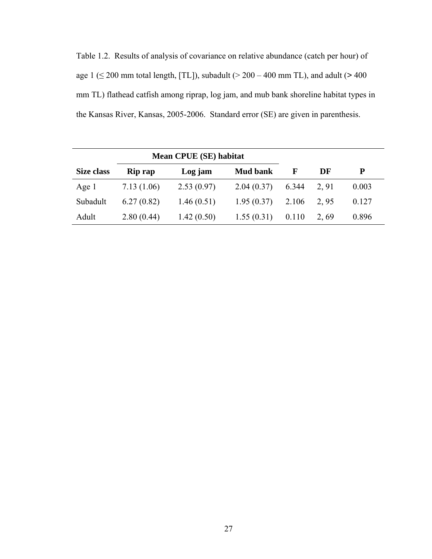Table 1.2. Results of analysis of covariance on relative abundance (catch per hour) of age 1 ( $\leq$  200 mm total length, [TL]), subadult ( $>$  200 – 400 mm TL), and adult ( $>$  400 mm TL) flathead catfish among riprap, log jam, and mub bank shoreline habitat types in the Kansas River, Kansas, 2005-2006. Standard error (SE) are given in parenthesis.

| Mean CPUE (SE) habitat |                |            |                 |       |      |       |
|------------------------|----------------|------------|-----------------|-------|------|-------|
| Size class             | <b>Rip rap</b> | Log jam    | <b>Mud bank</b> | F     | DF   | P     |
| Age 1                  | 7.13(1.06)     | 2.53(0.97) | 2.04(0.37)      | 6.344 | 2.91 | 0.003 |
| Subadult               | 6.27(0.82)     | 1.46(0.51) | 1.95(0.37)      | 2.106 | 2.95 | 0.127 |
| Adult                  | 2.80(0.44)     | 1.42(0.50) | 1.55(0.31)      | 0.110 | 2.69 | 0.896 |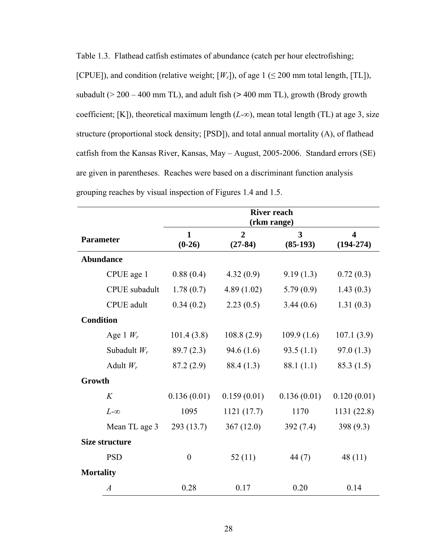| Table 1.3. Flathead catfish estimates of abundance (catch per hour electrofishing;                 |
|----------------------------------------------------------------------------------------------------|
| [CPUE]), and condition (relative weight; $[W_r]$ ), of age 1 ( $\leq$ 200 mm total length, [TL]),  |
| subadult ( $>$ 200 – 400 mm TL), and adult fish ( $>$ 400 mm TL), growth (Brody growth             |
| coefficient; [K]), theoretical maximum length $(L-\infty)$ , mean total length (TL) at age 3, size |
| structure (proportional stock density; [PSD]), and total annual mortality (A), of flathead         |
| catfish from the Kansas River, Kansas, May - August, 2005-2006. Standard errors (SE)               |
| are given in parentheses. Reaches were based on a discriminant function analysis                   |
| grouping reaches by visual inspection of Figures 1.4 and 1.5.                                      |

|                       |                          | <b>River reach</b><br>(rkm range) |                 |                                        |  |  |
|-----------------------|--------------------------|-----------------------------------|-----------------|----------------------------------------|--|--|
| <b>Parameter</b>      | $\mathbf{1}$<br>$(0-26)$ | $\overline{2}$<br>$(27-84)$       | 3<br>$(85-193)$ | $\overline{\mathbf{4}}$<br>$(194-274)$ |  |  |
| <b>Abundance</b>      |                          |                                   |                 |                                        |  |  |
| CPUE age 1            | 0.88(0.4)                | 4.32(0.9)                         | 9.19(1.3)       | 0.72(0.3)                              |  |  |
| <b>CPUE</b> subadult  | 1.78(0.7)                | 4.89(1.02)                        | 5.79(0.9)       | 1.43(0.3)                              |  |  |
| <b>CPUE</b> adult     | 0.34(0.2)                | 2.23(0.5)                         | 3.44(0.6)       | 1.31(0.3)                              |  |  |
| <b>Condition</b>      |                          |                                   |                 |                                        |  |  |
| Age 1 $W_r$           | 101.4(3.8)               | 108.8(2.9)                        | 109.9(1.6)      | 107.1(3.9)                             |  |  |
| Subadult $W_r$        | 89.7(2.3)                | 94.6(1.6)                         | 93.5(1.1)       | 97.0(1.3)                              |  |  |
| Adult $W_r$           | 87.2(2.9)                | 88.4 (1.3)                        | 88.1 (1.1)      | 85.3(1.5)                              |  |  |
| Growth                |                          |                                   |                 |                                        |  |  |
| K                     | 0.136(0.01)              | 0.159(0.01)                       | 0.136(0.01)     | 0.120(0.01)                            |  |  |
| $L-\infty$            | 1095                     | 1121 (17.7)                       | 1170            | 1131 (22.8)                            |  |  |
| Mean TL age 3         | 293(13.7)                | 367(12.0)                         | 392(7.4)        | 398(9.3)                               |  |  |
| <b>Size structure</b> |                          |                                   |                 |                                        |  |  |
| <b>PSD</b>            | $\overline{0}$           | 52(11)                            | 44 (7)          | 48(11)                                 |  |  |
| <b>Mortality</b>      |                          |                                   |                 |                                        |  |  |
| $\overline{A}$        | 0.28                     | 0.17                              | 0.20            | 0.14                                   |  |  |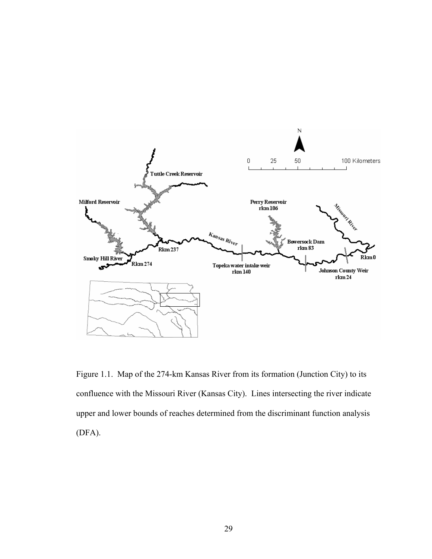

Figure 1.1. Map of the 274-km Kansas River from its formation (Junction City) to its confluence with the Missouri River (Kansas City). Lines intersecting the river indicate upper and lower bounds of reaches determined from the discriminant function analysis (DFA).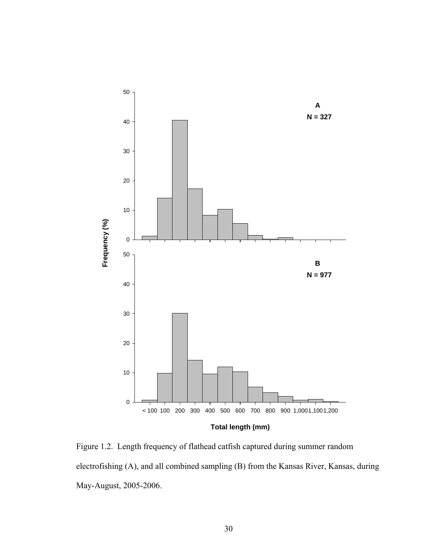

Figure 1.2. Length frequency of flathead catfish captured during summer random electrofishing (A), and all combined sampling (B) from the Kansas River, Kansas, during May-August, 2005-2006.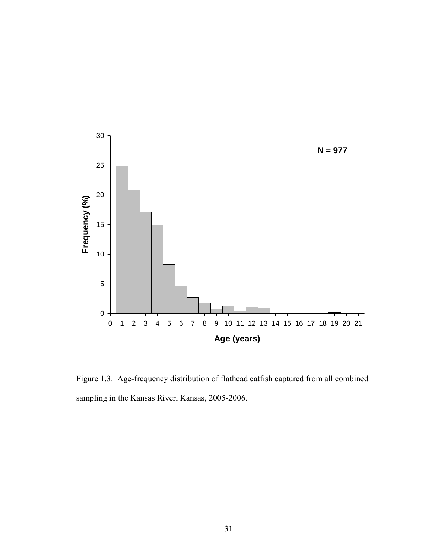

Figure 1.3. Age-frequency distribution of flathead catfish captured from all combined sampling in the Kansas River, Kansas, 2005-2006.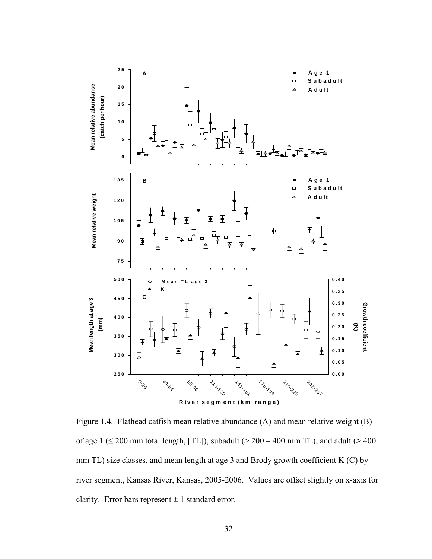

Figure 1.4. Flathead catfish mean relative abundance (A) and mean relative weight (B) of age  $1 \le 200$  mm total length, [TL]), subadult ( $> 200 - 400$  mm TL), and adult ( $> 400$ mm TL) size classes, and mean length at age 3 and Brody growth coefficient K (C) by river segment, Kansas River, Kansas, 2005-2006. Values are offset slightly on x-axis for clarity. Error bars represent  $\pm 1$  standard error.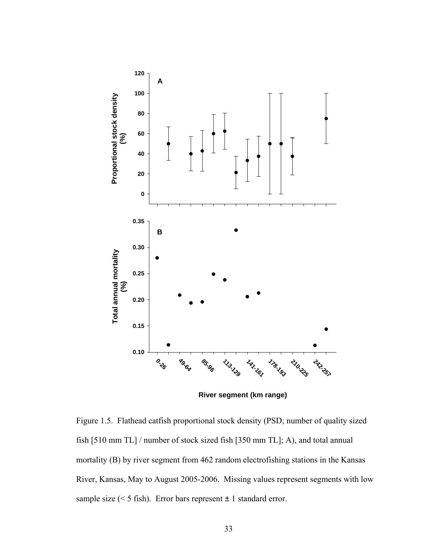

**River segment (km range)**

Figure 1.5. Flathead catfish proportional stock density (PSD; number of quality sized fish [510 mm TL] / number of stock sized fish [350 mm TL]; A), and total annual mortality (B) by river segment from 462 random electrofishing stations in the Kansas River, Kansas, May to August 2005-2006. Missing values represent segments with low sample size (< 5 fish). Error bars represent  $\pm$  1 standard error.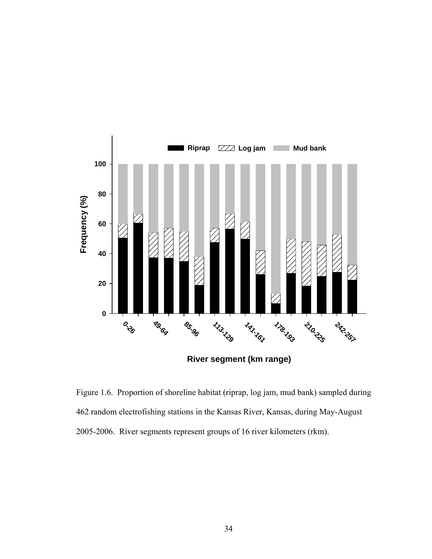

Figure 1.6. Proportion of shoreline habitat (riprap, log jam, mud bank) sampled during 462 random electrofishing stations in the Kansas River, Kansas, during May-August 2005-2006. River segments represent groups of 16 river kilometers (rkm).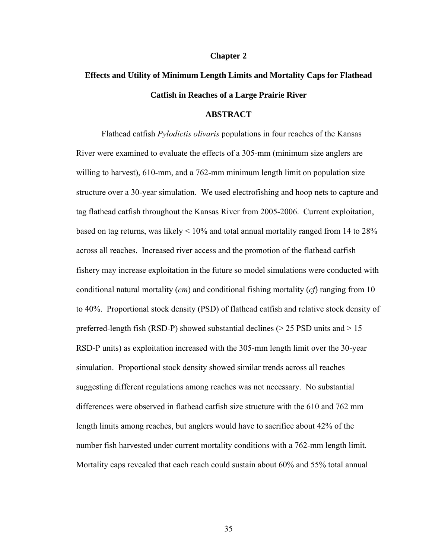#### **Chapter 2**

# **Effects and Utility of Minimum Length Limits and Mortality Caps for Flathead Catfish in Reaches of a Large Prairie River**

#### **ABSTRACT**

 Flathead catfish *Pylodictis olivaris* populations in four reaches of the Kansas River were examined to evaluate the effects of a 305-mm (minimum size anglers are willing to harvest), 610-mm, and a 762-mm minimum length limit on population size structure over a 30-year simulation. We used electrofishing and hoop nets to capture and tag flathead catfish throughout the Kansas River from 2005-2006. Current exploitation, based on tag returns, was likely < 10% and total annual mortality ranged from 14 to 28% across all reaches. Increased river access and the promotion of the flathead catfish fishery may increase exploitation in the future so model simulations were conducted with conditional natural mortality (*cm*) and conditional fishing mortality (*cf*) ranging from 10 to 40%. Proportional stock density (PSD) of flathead catfish and relative stock density of preferred-length fish (RSD-P) showed substantial declines ( $>$  25 PSD units and  $>$  15 RSD-P units) as exploitation increased with the 305-mm length limit over the 30-year simulation. Proportional stock density showed similar trends across all reaches suggesting different regulations among reaches was not necessary. No substantial differences were observed in flathead catfish size structure with the 610 and 762 mm length limits among reaches, but anglers would have to sacrifice about 42% of the number fish harvested under current mortality conditions with a 762-mm length limit. Mortality caps revealed that each reach could sustain about 60% and 55% total annual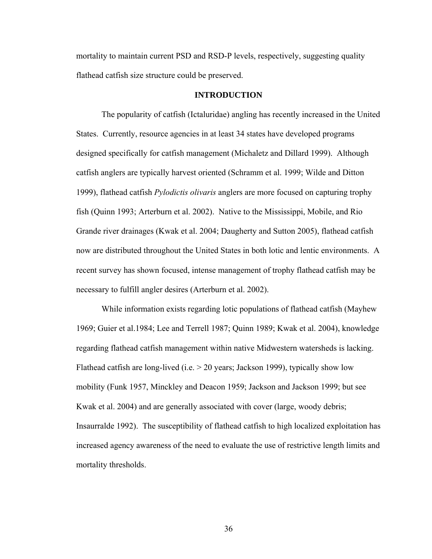mortality to maintain current PSD and RSD-P levels, respectively, suggesting quality flathead catfish size structure could be preserved.

#### **INTRODUCTION**

The popularity of catfish (Ictaluridae) angling has recently increased in the United States. Currently, resource agencies in at least 34 states have developed programs designed specifically for catfish management (Michaletz and Dillard 1999). Although catfish anglers are typically harvest oriented (Schramm et al. 1999; Wilde and Ditton 1999), flathead catfish *Pylodictis olivaris* anglers are more focused on capturing trophy fish (Quinn 1993; Arterburn et al. 2002). Native to the Mississippi, Mobile, and Rio Grande river drainages (Kwak et al. 2004; Daugherty and Sutton 2005), flathead catfish now are distributed throughout the United States in both lotic and lentic environments. A recent survey has shown focused, intense management of trophy flathead catfish may be necessary to fulfill angler desires (Arterburn et al. 2002).

 While information exists regarding lotic populations of flathead catfish (Mayhew 1969; Guier et al.1984; Lee and Terrell 1987; Quinn 1989; Kwak et al. 2004), knowledge regarding flathead catfish management within native Midwestern watersheds is lacking. Flathead catfish are long-lived (i.e. > 20 years; Jackson 1999), typically show low mobility (Funk 1957, Minckley and Deacon 1959; Jackson and Jackson 1999; but see Kwak et al. 2004) and are generally associated with cover (large, woody debris; Insaurralde 1992). The susceptibility of flathead catfish to high localized exploitation has increased agency awareness of the need to evaluate the use of restrictive length limits and mortality thresholds.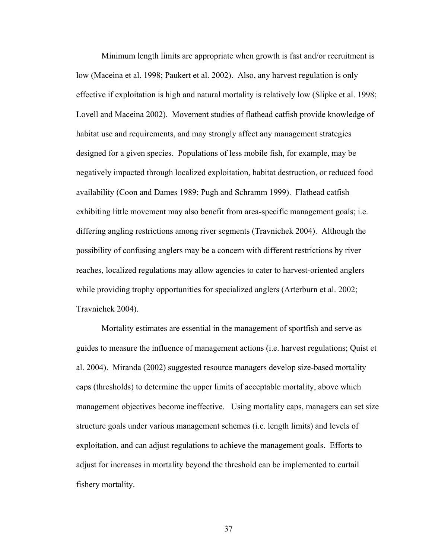Minimum length limits are appropriate when growth is fast and/or recruitment is low (Maceina et al. 1998; Paukert et al. 2002). Also, any harvest regulation is only effective if exploitation is high and natural mortality is relatively low (Slipke et al. 1998; Lovell and Maceina 2002). Movement studies of flathead catfish provide knowledge of habitat use and requirements, and may strongly affect any management strategies designed for a given species. Populations of less mobile fish, for example, may be negatively impacted through localized exploitation, habitat destruction, or reduced food availability (Coon and Dames 1989; Pugh and Schramm 1999). Flathead catfish exhibiting little movement may also benefit from area-specific management goals; i.e. differing angling restrictions among river segments (Travnichek 2004). Although the possibility of confusing anglers may be a concern with different restrictions by river reaches, localized regulations may allow agencies to cater to harvest-oriented anglers while providing trophy opportunities for specialized anglers (Arterburn et al. 2002; Travnichek 2004).

Mortality estimates are essential in the management of sportfish and serve as guides to measure the influence of management actions (i.e. harvest regulations; Quist et al. 2004). Miranda (2002) suggested resource managers develop size-based mortality caps (thresholds) to determine the upper limits of acceptable mortality, above which management objectives become ineffective. Using mortality caps, managers can set size structure goals under various management schemes (i.e. length limits) and levels of exploitation, and can adjust regulations to achieve the management goals. Efforts to adjust for increases in mortality beyond the threshold can be implemented to curtail fishery mortality.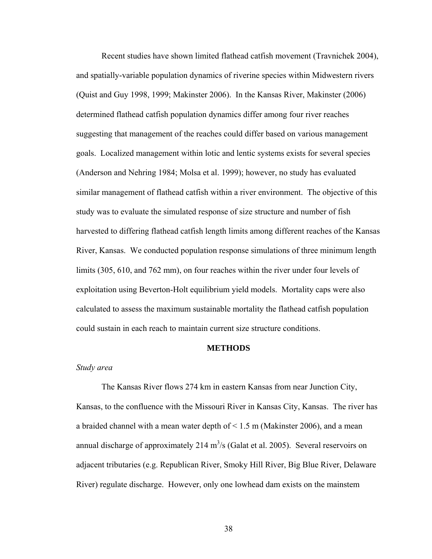Recent studies have shown limited flathead catfish movement (Travnichek 2004), and spatially-variable population dynamics of riverine species within Midwestern rivers (Quist and Guy 1998, 1999; Makinster 2006). In the Kansas River, Makinster (2006) determined flathead catfish population dynamics differ among four river reaches suggesting that management of the reaches could differ based on various management goals. Localized management within lotic and lentic systems exists for several species (Anderson and Nehring 1984; Molsa et al. 1999); however, no study has evaluated similar management of flathead catfish within a river environment. The objective of this study was to evaluate the simulated response of size structure and number of fish harvested to differing flathead catfish length limits among different reaches of the Kansas River, Kansas. We conducted population response simulations of three minimum length limits (305, 610, and 762 mm), on four reaches within the river under four levels of exploitation using Beverton-Holt equilibrium yield models. Mortality caps were also calculated to assess the maximum sustainable mortality the flathead catfish population could sustain in each reach to maintain current size structure conditions.

#### **METHODS**

#### *Study area*

 The Kansas River flows 274 km in eastern Kansas from near Junction City, Kansas, to the confluence with the Missouri River in Kansas City, Kansas. The river has a braided channel with a mean water depth of < 1.5 m (Makinster 2006), and a mean annual discharge of approximately 214  $m<sup>3</sup>/s$  (Galat et al. 2005). Several reservoirs on adjacent tributaries (e.g. Republican River, Smoky Hill River, Big Blue River, Delaware River) regulate discharge. However, only one lowhead dam exists on the mainstem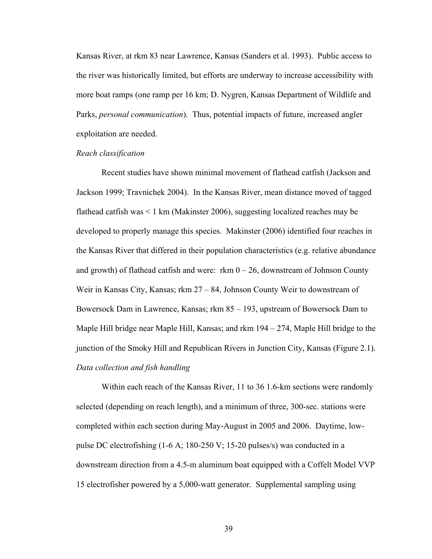Kansas River, at rkm 83 near Lawrence, Kansas (Sanders et al. 1993). Public access to the river was historically limited, but efforts are underway to increase accessibility with more boat ramps (one ramp per 16 km; D. Nygren, Kansas Department of Wildlife and Parks, *personal communication*). Thus, potential impacts of future, increased angler exploitation are needed.

#### *Reach classification*

Recent studies have shown minimal movement of flathead catfish (Jackson and Jackson 1999; Travnichek 2004). In the Kansas River, mean distance moved of tagged flathead catfish was < 1 km (Makinster 2006), suggesting localized reaches may be developed to properly manage this species. Makinster (2006) identified four reaches in the Kansas River that differed in their population characteristics (e.g. relative abundance and growth) of flathead catfish and were: rkm  $0 - 26$ , downstream of Johnson County Weir in Kansas City, Kansas; rkm 27 – 84, Johnson County Weir to downstream of Bowersock Dam in Lawrence, Kansas; rkm 85 – 193, upstream of Bowersock Dam to Maple Hill bridge near Maple Hill, Kansas; and rkm 194 – 274, Maple Hill bridge to the junction of the Smoky Hill and Republican Rivers in Junction City, Kansas (Figure 2.1). *Data collection and fish handling* 

Within each reach of the Kansas River, 11 to 36 1.6-km sections were randomly selected (depending on reach length), and a minimum of three, 300-sec. stations were completed within each section during May-August in 2005 and 2006. Daytime, lowpulse DC electrofishing  $(1-6 \text{ A}; 180-250 \text{ V}; 15-20 \text{ pulses/s})$  was conducted in a downstream direction from a 4.5-m aluminum boat equipped with a Coffelt Model VVP 15 electrofisher powered by a 5,000-watt generator. Supplemental sampling using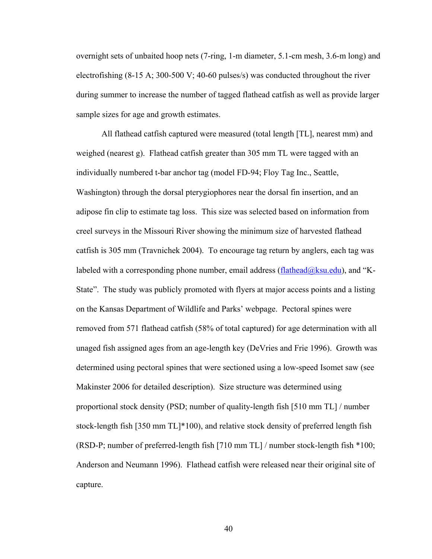overnight sets of unbaited hoop nets (7-ring, 1-m diameter, 5.1-cm mesh, 3.6-m long) and electrofishing (8-15 A; 300-500 V; 40-60 pulses/s) was conducted throughout the river during summer to increase the number of tagged flathead catfish as well as provide larger sample sizes for age and growth estimates.

All flathead catfish captured were measured (total length [TL], nearest mm) and weighed (nearest g). Flathead catfish greater than 305 mm TL were tagged with an individually numbered t-bar anchor tag (model FD-94; Floy Tag Inc., Seattle, Washington) through the dorsal pterygiophores near the dorsal fin insertion, and an adipose fin clip to estimate tag loss. This size was selected based on information from creel surveys in the Missouri River showing the minimum size of harvested flathead catfish is 305 mm (Travnichek 2004). To encourage tag return by anglers, each tag was labeled with a corresponding phone number, email address (flathead  $@ksu$  edu), and "K-State". The study was publicly promoted with flyers at major access points and a listing on the Kansas Department of Wildlife and Parks' webpage. Pectoral spines were removed from 571 flathead catfish (58% of total captured) for age determination with all unaged fish assigned ages from an age-length key (DeVries and Frie 1996). Growth was determined using pectoral spines that were sectioned using a low-speed Isomet saw (see Makinster 2006 for detailed description). Size structure was determined using proportional stock density (PSD; number of quality-length fish [510 mm TL] / number stock-length fish [350 mm TL]\*100), and relative stock density of preferred length fish (RSD-P; number of preferred-length fish [710 mm TL] / number stock-length fish \*100; Anderson and Neumann 1996). Flathead catfish were released near their original site of capture.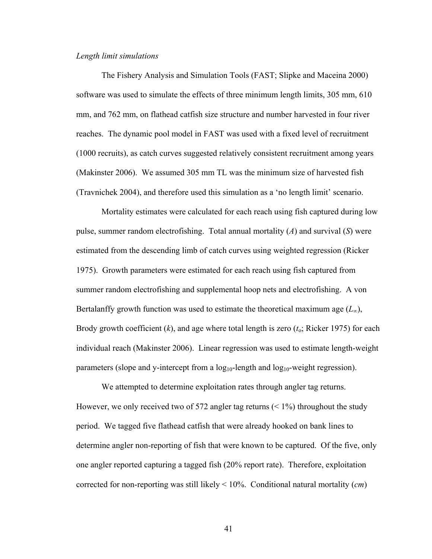#### *Length limit simulations*

The Fishery Analysis and Simulation Tools (FAST; Slipke and Maceina 2000) software was used to simulate the effects of three minimum length limits, 305 mm, 610 mm, and 762 mm, on flathead catfish size structure and number harvested in four river reaches. The dynamic pool model in FAST was used with a fixed level of recruitment (1000 recruits), as catch curves suggested relatively consistent recruitment among years (Makinster 2006). We assumed 305 mm TL was the minimum size of harvested fish (Travnichek 2004), and therefore used this simulation as a 'no length limit' scenario.

 Mortality estimates were calculated for each reach using fish captured during low pulse, summer random electrofishing. Total annual mortality (*A*) and survival (*S*) were estimated from the descending limb of catch curves using weighted regression (Ricker 1975). Growth parameters were estimated for each reach using fish captured from summer random electrofishing and supplemental hoop nets and electrofishing. A von Bertalanffy growth function was used to estimate the theoretical maximum age (*L*∞), Brody growth coefficient (*k*), and age where total length is zero (*t*o; Ricker 1975) for each individual reach (Makinster 2006). Linear regression was used to estimate length-weight parameters (slope and y-intercept from a  $log_{10}$ -length and  $log_{10}$ -weight regression).

 We attempted to determine exploitation rates through angler tag returns. However, we only received two of 572 angler tag returns  $($  < 1%) throughout the study period. We tagged five flathead catfish that were already hooked on bank lines to determine angler non-reporting of fish that were known to be captured. Of the five, only one angler reported capturing a tagged fish (20% report rate). Therefore, exploitation corrected for non-reporting was still likely < 10%. Conditional natural mortality (*cm*)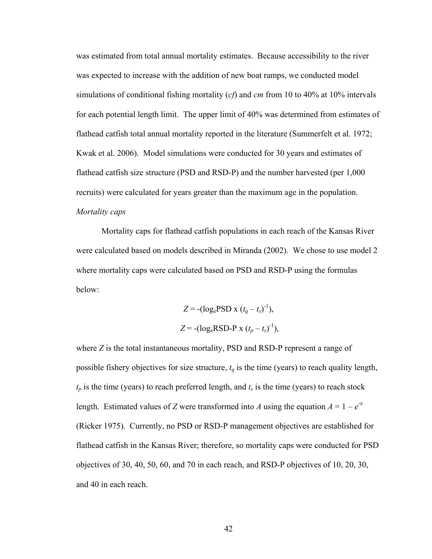was estimated from total annual mortality estimates. Because accessibility to the river was expected to increase with the addition of new boat ramps, we conducted model simulations of conditional fishing mortality (*cf*) and *cm* from 10 to 40% at 10% intervals for each potential length limit. The upper limit of 40% was determined from estimates of flathead catfish total annual mortality reported in the literature (Summerfelt et al. 1972; Kwak et al. 2006). Model simulations were conducted for 30 years and estimates of flathead catfish size structure (PSD and RSD-P) and the number harvested (per 1,000 recruits) were calculated for years greater than the maximum age in the population. *Mortality caps*

Mortality caps for flathead catfish populations in each reach of the Kansas River were calculated based on models described in Miranda (2002). We chose to use model 2 where mortality caps were calculated based on PSD and RSD-P using the formulas below:

$$
Z = -(log_ePSD \times (t_q - t_s)^{-1}),
$$
  

$$
Z = -(log_eRSD-P \times (t_p - t_s)^{-1}),
$$

where *Z* is the total instantaneous mortality, PSD and RSD-P represent a range of possible fishery objectives for size structure,  $t_q$  is the time (years) to reach quality length,  $t_p$  is the time (years) to reach preferred length, and  $t_s$  is the time (years) to reach stock length. Estimated values of *Z* were transformed into *A* using the equation  $A = 1 - e^{-z}$ (Ricker 1975). Currently, no PSD or RSD-P management objectives are established for flathead catfish in the Kansas River; therefore, so mortality caps were conducted for PSD objectives of 30, 40, 50, 60, and 70 in each reach, and RSD-P objectives of 10, 20, 30, and 40 in each reach.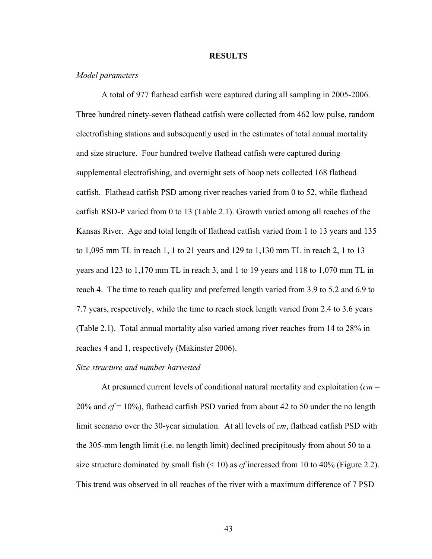#### **RESULTS**

#### *Model parameters*

 A total of 977 flathead catfish were captured during all sampling in 2005-2006. Three hundred ninety-seven flathead catfish were collected from 462 low pulse, random electrofishing stations and subsequently used in the estimates of total annual mortality and size structure. Four hundred twelve flathead catfish were captured during supplemental electrofishing, and overnight sets of hoop nets collected 168 flathead catfish. Flathead catfish PSD among river reaches varied from 0 to 52, while flathead catfish RSD-P varied from 0 to 13 (Table 2.1). Growth varied among all reaches of the Kansas River. Age and total length of flathead catfish varied from 1 to 13 years and 135 to 1,095 mm TL in reach 1, 1 to 21 years and 129 to 1,130 mm TL in reach 2, 1 to 13 years and 123 to 1,170 mm TL in reach 3, and 1 to 19 years and 118 to 1,070 mm TL in reach 4. The time to reach quality and preferred length varied from 3.9 to 5.2 and 6.9 to 7.7 years, respectively, while the time to reach stock length varied from 2.4 to 3.6 years (Table 2.1). Total annual mortality also varied among river reaches from 14 to 28% in reaches 4 and 1, respectively (Makinster 2006).

#### *Size structure and number harvested*

 At presumed current levels of conditional natural mortality and exploitation (*cm* = 20% and *cf* = 10%), flathead catfish PSD varied from about 42 to 50 under the no length limit scenario over the 30-year simulation. At all levels of *cm*, flathead catfish PSD with the 305-mm length limit (i.e. no length limit) declined precipitously from about 50 to a size structure dominated by small fish (< 10) as *cf* increased from 10 to 40% (Figure 2.2). This trend was observed in all reaches of the river with a maximum difference of 7 PSD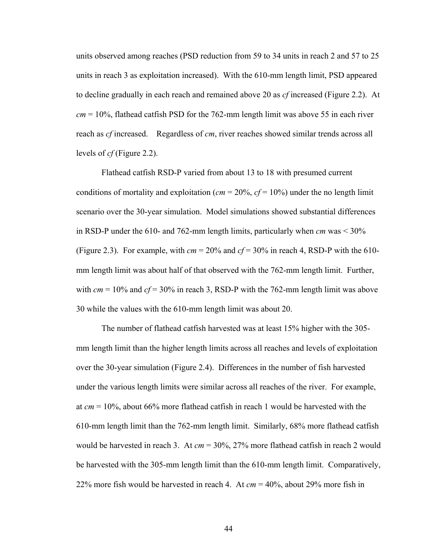units observed among reaches (PSD reduction from 59 to 34 units in reach 2 and 57 to 25 units in reach 3 as exploitation increased). With the 610-mm length limit, PSD appeared to decline gradually in each reach and remained above 20 as *cf* increased (Figure 2.2). At *cm* = 10%, flathead catfish PSD for the 762-mm length limit was above 55 in each river reach as *cf* increased. Regardless of *cm*, river reaches showed similar trends across all levels of *cf* (Figure 2.2).

Flathead catfish RSD-P varied from about 13 to 18 with presumed current conditions of mortality and exploitation ( $cm = 20\%$ ,  $cf = 10\%$ ) under the no length limit scenario over the 30-year simulation. Model simulations showed substantial differences in RSD-P under the 610- and 762-mm length limits, particularly when *cm* was < 30% (Figure 2.3). For example, with  $cm = 20\%$  and  $cf = 30\%$  in reach 4, RSD-P with the 610mm length limit was about half of that observed with the 762-mm length limit. Further, with  $cm = 10\%$  and  $cf = 30\%$  in reach 3, RSD-P with the 762-mm length limit was above 30 while the values with the 610-mm length limit was about 20.

The number of flathead catfish harvested was at least 15% higher with the 305 mm length limit than the higher length limits across all reaches and levels of exploitation over the 30-year simulation (Figure 2.4). Differences in the number of fish harvested under the various length limits were similar across all reaches of the river. For example, at *cm* = 10%, about 66% more flathead catfish in reach 1 would be harvested with the 610-mm length limit than the 762-mm length limit. Similarly, 68% more flathead catfish would be harvested in reach 3. At *cm* = 30%, 27% more flathead catfish in reach 2 would be harvested with the 305-mm length limit than the 610-mm length limit. Comparatively, 22% more fish would be harvested in reach 4. At *cm* = 40%, about 29% more fish in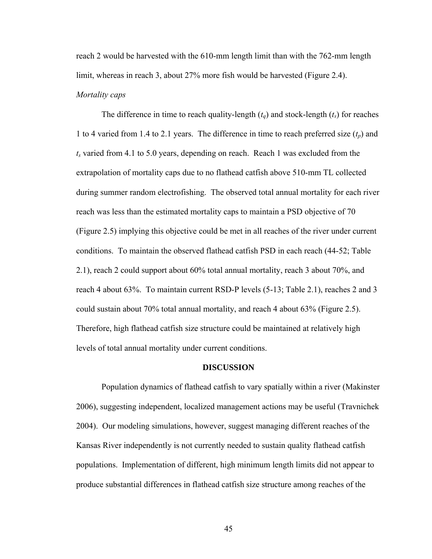reach 2 would be harvested with the 610-mm length limit than with the 762-mm length limit, whereas in reach 3, about 27% more fish would be harvested (Figure 2.4). *Mortality caps* 

The difference in time to reach quality-length  $(t_q)$  and stock-length  $(t_s)$  for reaches 1 to 4 varied from 1.4 to 2.1 years. The difference in time to reach preferred size  $(t_p)$  and  $t<sub>s</sub>$  varied from 4.1 to 5.0 years, depending on reach. Reach 1 was excluded from the extrapolation of mortality caps due to no flathead catfish above 510-mm TL collected during summer random electrofishing. The observed total annual mortality for each river reach was less than the estimated mortality caps to maintain a PSD objective of 70 (Figure 2.5) implying this objective could be met in all reaches of the river under current conditions. To maintain the observed flathead catfish PSD in each reach (44-52; Table 2.1), reach 2 could support about 60% total annual mortality, reach 3 about 70%, and reach 4 about 63%. To maintain current RSD-P levels (5-13; Table 2.1), reaches 2 and 3 could sustain about 70% total annual mortality, and reach 4 about 63% (Figure 2.5). Therefore, high flathead catfish size structure could be maintained at relatively high levels of total annual mortality under current conditions.

#### **DISCUSSION**

 Population dynamics of flathead catfish to vary spatially within a river (Makinster 2006), suggesting independent, localized management actions may be useful (Travnichek 2004). Our modeling simulations, however, suggest managing different reaches of the Kansas River independently is not currently needed to sustain quality flathead catfish populations. Implementation of different, high minimum length limits did not appear to produce substantial differences in flathead catfish size structure among reaches of the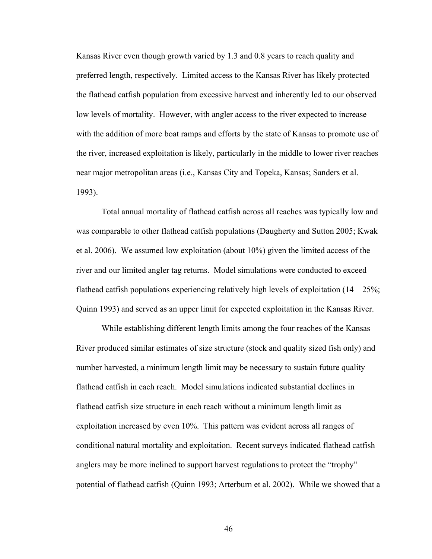Kansas River even though growth varied by 1.3 and 0.8 years to reach quality and preferred length, respectively. Limited access to the Kansas River has likely protected the flathead catfish population from excessive harvest and inherently led to our observed low levels of mortality. However, with angler access to the river expected to increase with the addition of more boat ramps and efforts by the state of Kansas to promote use of the river, increased exploitation is likely, particularly in the middle to lower river reaches near major metropolitan areas (i.e., Kansas City and Topeka, Kansas; Sanders et al. 1993).

 Total annual mortality of flathead catfish across all reaches was typically low and was comparable to other flathead catfish populations (Daugherty and Sutton 2005; Kwak et al. 2006). We assumed low exploitation (about 10%) given the limited access of the river and our limited angler tag returns. Model simulations were conducted to exceed flathead catfish populations experiencing relatively high levels of exploitation  $(14 – 25\%)$ ; Quinn 1993) and served as an upper limit for expected exploitation in the Kansas River.

 While establishing different length limits among the four reaches of the Kansas River produced similar estimates of size structure (stock and quality sized fish only) and number harvested, a minimum length limit may be necessary to sustain future quality flathead catfish in each reach. Model simulations indicated substantial declines in flathead catfish size structure in each reach without a minimum length limit as exploitation increased by even 10%. This pattern was evident across all ranges of conditional natural mortality and exploitation. Recent surveys indicated flathead catfish anglers may be more inclined to support harvest regulations to protect the "trophy" potential of flathead catfish (Quinn 1993; Arterburn et al. 2002). While we showed that a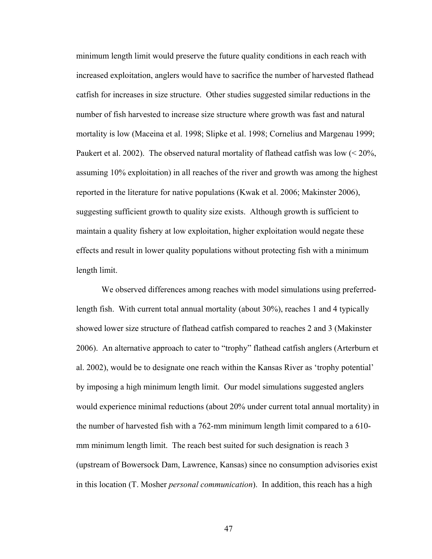minimum length limit would preserve the future quality conditions in each reach with increased exploitation, anglers would have to sacrifice the number of harvested flathead catfish for increases in size structure. Other studies suggested similar reductions in the number of fish harvested to increase size structure where growth was fast and natural mortality is low (Maceina et al. 1998; Slipke et al. 1998; Cornelius and Margenau 1999; Paukert et al. 2002). The observed natural mortality of flathead catfish was low (< 20%, assuming 10% exploitation) in all reaches of the river and growth was among the highest reported in the literature for native populations (Kwak et al. 2006; Makinster 2006), suggesting sufficient growth to quality size exists. Although growth is sufficient to maintain a quality fishery at low exploitation, higher exploitation would negate these effects and result in lower quality populations without protecting fish with a minimum length limit.

 We observed differences among reaches with model simulations using preferredlength fish. With current total annual mortality (about 30%), reaches 1 and 4 typically showed lower size structure of flathead catfish compared to reaches 2 and 3 (Makinster 2006). An alternative approach to cater to "trophy" flathead catfish anglers (Arterburn et al. 2002), would be to designate one reach within the Kansas River as 'trophy potential' by imposing a high minimum length limit. Our model simulations suggested anglers would experience minimal reductions (about 20% under current total annual mortality) in the number of harvested fish with a 762-mm minimum length limit compared to a 610 mm minimum length limit. The reach best suited for such designation is reach 3 (upstream of Bowersock Dam, Lawrence, Kansas) since no consumption advisories exist in this location (T. Mosher *personal communication*). In addition, this reach has a high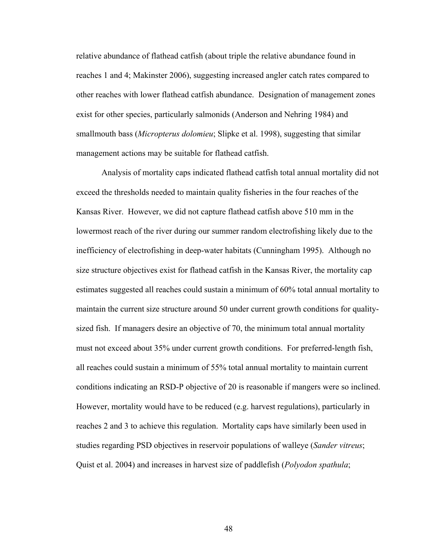relative abundance of flathead catfish (about triple the relative abundance found in reaches 1 and 4; Makinster 2006), suggesting increased angler catch rates compared to other reaches with lower flathead catfish abundance. Designation of management zones exist for other species, particularly salmonids (Anderson and Nehring 1984) and smallmouth bass (*Micropterus dolomieu*; Slipke et al. 1998), suggesting that similar management actions may be suitable for flathead catfish.

 Analysis of mortality caps indicated flathead catfish total annual mortality did not exceed the thresholds needed to maintain quality fisheries in the four reaches of the Kansas River. However, we did not capture flathead catfish above 510 mm in the lowermost reach of the river during our summer random electrofishing likely due to the inefficiency of electrofishing in deep-water habitats (Cunningham 1995). Although no size structure objectives exist for flathead catfish in the Kansas River, the mortality cap estimates suggested all reaches could sustain a minimum of 60% total annual mortality to maintain the current size structure around 50 under current growth conditions for qualitysized fish. If managers desire an objective of 70, the minimum total annual mortality must not exceed about 35% under current growth conditions. For preferred-length fish, all reaches could sustain a minimum of 55% total annual mortality to maintain current conditions indicating an RSD-P objective of 20 is reasonable if mangers were so inclined. However, mortality would have to be reduced (e.g. harvest regulations), particularly in reaches 2 and 3 to achieve this regulation. Mortality caps have similarly been used in studies regarding PSD objectives in reservoir populations of walleye (*Sander vitreus*; Quist et al. 2004) and increases in harvest size of paddlefish (*Polyodon spathula*;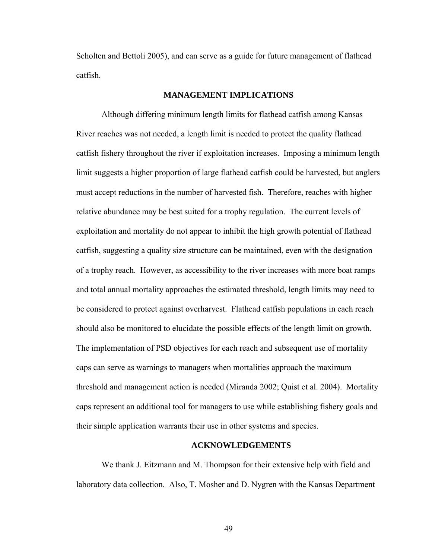Scholten and Bettoli 2005), and can serve as a guide for future management of flathead catfish.

### **MANAGEMENT IMPLICATIONS**

 Although differing minimum length limits for flathead catfish among Kansas River reaches was not needed, a length limit is needed to protect the quality flathead catfish fishery throughout the river if exploitation increases. Imposing a minimum length limit suggests a higher proportion of large flathead catfish could be harvested, but anglers must accept reductions in the number of harvested fish. Therefore, reaches with higher relative abundance may be best suited for a trophy regulation. The current levels of exploitation and mortality do not appear to inhibit the high growth potential of flathead catfish, suggesting a quality size structure can be maintained, even with the designation of a trophy reach. However, as accessibility to the river increases with more boat ramps and total annual mortality approaches the estimated threshold, length limits may need to be considered to protect against overharvest. Flathead catfish populations in each reach should also be monitored to elucidate the possible effects of the length limit on growth. The implementation of PSD objectives for each reach and subsequent use of mortality caps can serve as warnings to managers when mortalities approach the maximum threshold and management action is needed (Miranda 2002; Quist et al. 2004). Mortality caps represent an additional tool for managers to use while establishing fishery goals and their simple application warrants their use in other systems and species.

#### **ACKNOWLEDGEMENTS**

 We thank J. Eitzmann and M. Thompson for their extensive help with field and laboratory data collection. Also, T. Mosher and D. Nygren with the Kansas Department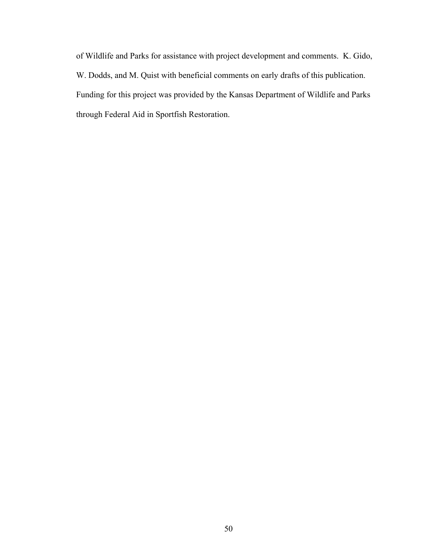of Wildlife and Parks for assistance with project development and comments. K. Gido, W. Dodds, and M. Quist with beneficial comments on early drafts of this publication. Funding for this project was provided by the Kansas Department of Wildlife and Parks through Federal Aid in Sportfish Restoration.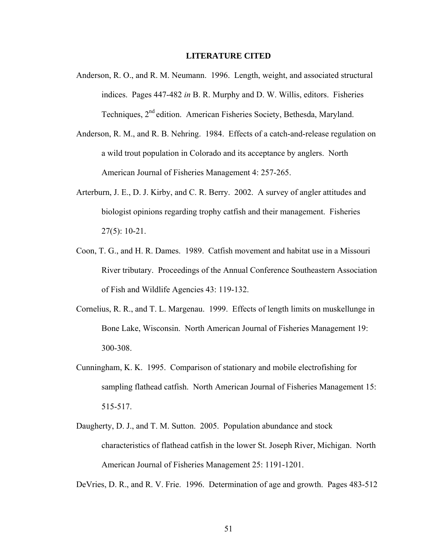#### **LITERATURE CITED**

- Anderson, R. O., and R. M. Neumann. 1996. Length, weight, and associated structural indices. Pages 447-482 *in* B. R. Murphy and D. W. Willis, editors. Fisheries Techniques, 2<sup>nd</sup> edition. American Fisheries Society, Bethesda, Maryland.
- Anderson, R. M., and R. B. Nehring. 1984. Effects of a catch-and-release regulation on a wild trout population in Colorado and its acceptance by anglers. North American Journal of Fisheries Management 4: 257-265.
- Arterburn, J. E., D. J. Kirby, and C. R. Berry. 2002. A survey of angler attitudes and biologist opinions regarding trophy catfish and their management. Fisheries 27(5): 10-21.
- Coon, T. G., and H. R. Dames. 1989. Catfish movement and habitat use in a Missouri River tributary. Proceedings of the Annual Conference Southeastern Association of Fish and Wildlife Agencies 43: 119-132.
- Cornelius, R. R., and T. L. Margenau. 1999. Effects of length limits on muskellunge in Bone Lake, Wisconsin. North American Journal of Fisheries Management 19: 300-308.
- Cunningham, K. K. 1995. Comparison of stationary and mobile electrofishing for sampling flathead catfish. North American Journal of Fisheries Management 15: 515-517.
- Daugherty, D. J., and T. M. Sutton. 2005. Population abundance and stock characteristics of flathead catfish in the lower St. Joseph River, Michigan. North American Journal of Fisheries Management 25: 1191-1201.

DeVries, D. R., and R. V. Frie. 1996. Determination of age and growth. Pages 483-512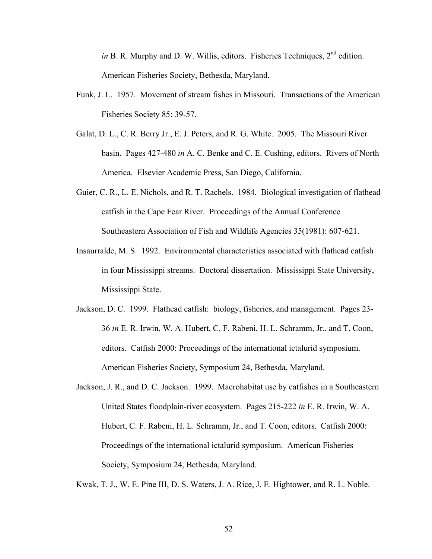*in* B. R. Murphy and D. W. Willis, editors. Fisheries Techniques, 2<sup>nd</sup> edition. American Fisheries Society, Bethesda, Maryland.

- Funk, J. L. 1957. Movement of stream fishes in Missouri. Transactions of the American Fisheries Society 85: 39-57.
- Galat, D. L., C. R. Berry Jr., E. J. Peters, and R. G. White. 2005. The Missouri River basin. Pages 427-480 *in* A. C. Benke and C. E. Cushing, editors. Rivers of North America. Elsevier Academic Press, San Diego, California.
- Guier, C. R., L. E. Nichols, and R. T. Rachels. 1984. Biological investigation of flathead catfish in the Cape Fear River. Proceedings of the Annual Conference Southeastern Association of Fish and Wildlife Agencies 35(1981): 607-621.
- Insaurralde, M. S. 1992. Environmental characteristics associated with flathead catfish in four Mississippi streams. Doctoral dissertation. Mississippi State University, Mississippi State.
- Jackson, D. C. 1999. Flathead catfish: biology, fisheries, and management. Pages 23- 36 *in* E. R. Irwin, W. A. Hubert, C. F. Rabeni, H. L. Schramm, Jr., and T. Coon, editors. Catfish 2000: Proceedings of the international ictalurid symposium. American Fisheries Society, Symposium 24, Bethesda, Maryland.
- Jackson, J. R., and D. C. Jackson. 1999. Macrohabitat use by catfishes in a Southeastern United States floodplain-river ecosystem. Pages 215-222 *in* E. R. Irwin, W. A. Hubert, C. F. Rabeni, H. L. Schramm, Jr., and T. Coon, editors. Catfish 2000: Proceedings of the international ictalurid symposium. American Fisheries Society, Symposium 24, Bethesda, Maryland.

Kwak, T. J., W. E. Pine III, D. S. Waters, J. A. Rice, J. E. Hightower, and R. L. Noble.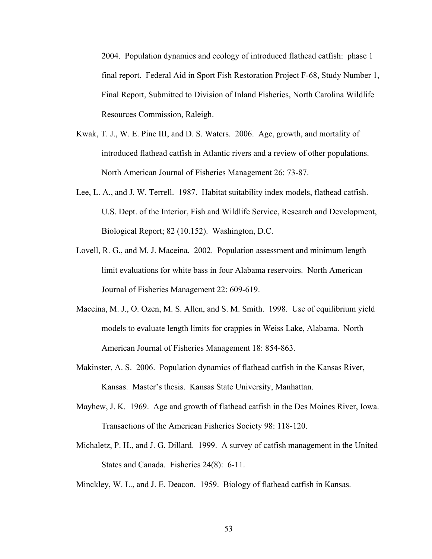2004. Population dynamics and ecology of introduced flathead catfish: phase 1 final report. Federal Aid in Sport Fish Restoration Project F-68, Study Number 1, Final Report, Submitted to Division of Inland Fisheries, North Carolina Wildlife Resources Commission, Raleigh.

- Kwak, T. J., W. E. Pine III, and D. S. Waters. 2006. Age, growth, and mortality of introduced flathead catfish in Atlantic rivers and a review of other populations. North American Journal of Fisheries Management 26: 73-87.
- Lee, L. A., and J. W. Terrell. 1987. Habitat suitability index models, flathead catfish. U.S. Dept. of the Interior, Fish and Wildlife Service, Research and Development, Biological Report; 82 (10.152). Washington, D.C.
- Lovell, R. G., and M. J. Maceina. 2002. Population assessment and minimum length limit evaluations for white bass in four Alabama reservoirs. North American Journal of Fisheries Management 22: 609-619.
- Maceina, M. J., O. Ozen, M. S. Allen, and S. M. Smith. 1998. Use of equilibrium yield models to evaluate length limits for crappies in Weiss Lake, Alabama. North American Journal of Fisheries Management 18: 854-863.
- Makinster, A. S. 2006. Population dynamics of flathead catfish in the Kansas River, Kansas. Master's thesis. Kansas State University, Manhattan.
- Mayhew, J. K. 1969. Age and growth of flathead catfish in the Des Moines River, Iowa. Transactions of the American Fisheries Society 98: 118-120.
- Michaletz, P. H., and J. G. Dillard. 1999. A survey of catfish management in the United States and Canada. Fisheries 24(8): 6-11.

Minckley, W. L., and J. E. Deacon. 1959. Biology of flathead catfish in Kansas.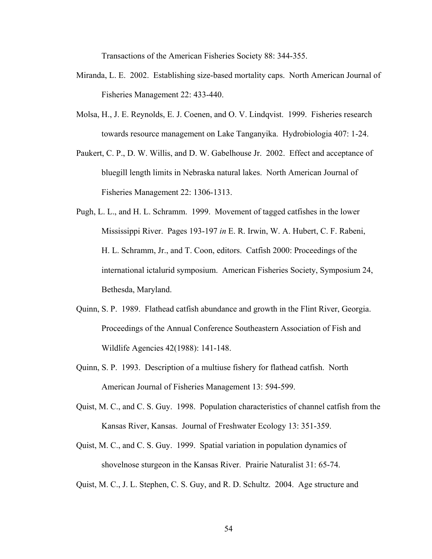Transactions of the American Fisheries Society 88: 344-355.

- Miranda, L. E. 2002. Establishing size-based mortality caps. North American Journal of Fisheries Management 22: 433-440.
- Molsa, H., J. E. Reynolds, E. J. Coenen, and O. V. Lindqvist. 1999. Fisheries research towards resource management on Lake Tanganyika. Hydrobiologia 407: 1-24.
- Paukert, C. P., D. W. Willis, and D. W. Gabelhouse Jr. 2002. Effect and acceptance of bluegill length limits in Nebraska natural lakes. North American Journal of Fisheries Management 22: 1306-1313.
- Pugh, L. L., and H. L. Schramm. 1999. Movement of tagged catfishes in the lower Mississippi River. Pages 193-197 *in* E. R. Irwin, W. A. Hubert, C. F. Rabeni, H. L. Schramm, Jr., and T. Coon, editors. Catfish 2000: Proceedings of the international ictalurid symposium. American Fisheries Society, Symposium 24, Bethesda, Maryland.
- Quinn, S. P. 1989. Flathead catfish abundance and growth in the Flint River, Georgia. Proceedings of the Annual Conference Southeastern Association of Fish and Wildlife Agencies 42(1988): 141-148.
- Quinn, S. P. 1993. Description of a multiuse fishery for flathead catfish. North American Journal of Fisheries Management 13: 594-599.
- Quist, M. C., and C. S. Guy. 1998. Population characteristics of channel catfish from the Kansas River, Kansas. Journal of Freshwater Ecology 13: 351-359.
- Quist, M. C., and C. S. Guy. 1999. Spatial variation in population dynamics of shovelnose sturgeon in the Kansas River. Prairie Naturalist 31: 65-74.
- Quist, M. C., J. L. Stephen, C. S. Guy, and R. D. Schultz. 2004. Age structure and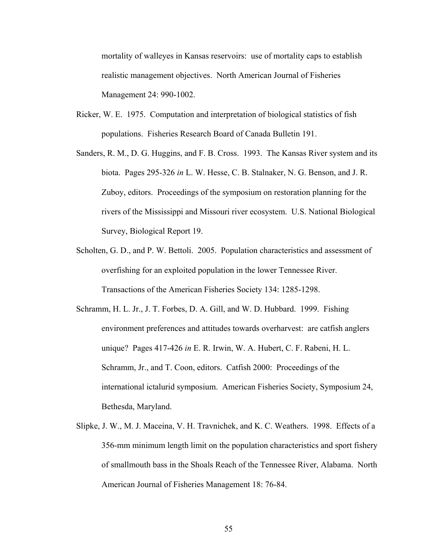mortality of walleyes in Kansas reservoirs: use of mortality caps to establish realistic management objectives. North American Journal of Fisheries Management 24: 990-1002.

- Ricker, W. E. 1975. Computation and interpretation of biological statistics of fish populations. Fisheries Research Board of Canada Bulletin 191.
- Sanders, R. M., D. G. Huggins, and F. B. Cross. 1993. The Kansas River system and its biota. Pages 295-326 *in* L. W. Hesse, C. B. Stalnaker, N. G. Benson, and J. R. Zuboy, editors. Proceedings of the symposium on restoration planning for the rivers of the Mississippi and Missouri river ecosystem. U.S. National Biological Survey, Biological Report 19.
- Scholten, G. D., and P. W. Bettoli. 2005. Population characteristics and assessment of overfishing for an exploited population in the lower Tennessee River. Transactions of the American Fisheries Society 134: 1285-1298.
- Schramm, H. L. Jr., J. T. Forbes, D. A. Gill, and W. D. Hubbard. 1999. Fishing environment preferences and attitudes towards overharvest: are catfish anglers unique? Pages 417-426 *in* E. R. Irwin, W. A. Hubert, C. F. Rabeni, H. L. Schramm, Jr., and T. Coon, editors. Catfish 2000: Proceedings of the international ictalurid symposium. American Fisheries Society, Symposium 24, Bethesda, Maryland.
- Slipke, J. W., M. J. Maceina, V. H. Travnichek, and K. C. Weathers. 1998. Effects of a 356-mm minimum length limit on the population characteristics and sport fishery of smallmouth bass in the Shoals Reach of the Tennessee River, Alabama. North American Journal of Fisheries Management 18: 76-84.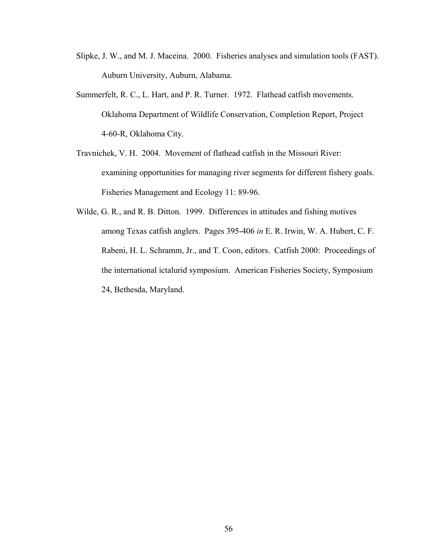- Slipke, J. W., and M. J. Maceina. 2000. Fisheries analyses and simulation tools (FAST). Auburn University, Auburn, Alabama.
- Summerfelt, R. C., L. Hart, and P. R. Turner. 1972. Flathead catfish movements. Oklahoma Department of Wildlife Conservation, Completion Report, Project 4-60-R, Oklahoma City.
- Travnichek, V. H. 2004. Movement of flathead catfish in the Missouri River: examining opportunities for managing river segments for different fishery goals. Fisheries Management and Ecology 11: 89-96.
- Wilde, G. R., and R. B. Ditton. 1999. Differences in attitudes and fishing motives among Texas catfish anglers. Pages 395-406 *in* E. R. Irwin, W. A. Hubert, C. F. Rabeni, H. L. Schramm, Jr., and T. Coon, editors. Catfish 2000: Proceedings of the international ictalurid symposium. American Fisheries Society, Symposium 24, Bethesda, Maryland.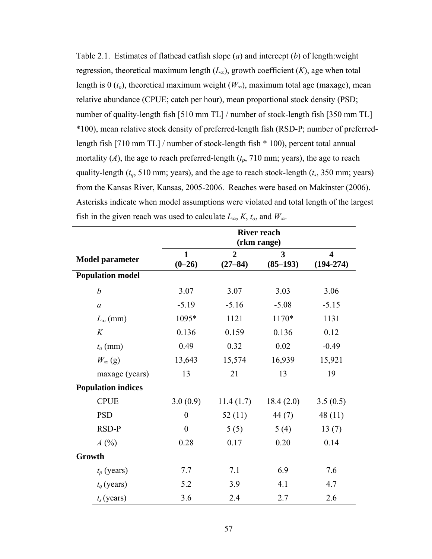Table 2.1. Estimates of flathead catfish slope (*a*) and intercept (*b*) of length:weight regression, theoretical maximum length  $(L_\infty)$ , growth coefficient  $(K)$ , age when total length is 0  $(t_o)$ , theoretical maximum weight  $(W_\infty)$ , maximum total age (maxage), mean relative abundance (CPUE; catch per hour), mean proportional stock density (PSD; number of quality-length fish [510 mm TL] / number of stock-length fish [350 mm TL] \*100), mean relative stock density of preferred-length fish (RSD-P; number of preferredlength fish [710 mm TL] / number of stock-length fish \* 100), percent total annual mortality  $(A)$ , the age to reach preferred-length  $(t_p, 710 \text{ mm})$ ; years), the age to reach quality-length ( $t_q$ , 510 mm; years), and the age to reach stock-length ( $t_s$ , 350 mm; years) from the Kansas River, Kansas, 2005-2006. Reaches were based on Makinster (2006). Asterisks indicate when model assumptions were violated and total length of the largest fish in the given reach was used to calculate  $L_{\infty}$ ,  $K$ ,  $t_o$ , and  $W_{\infty}$ .

|                           | <b>River reach</b><br>(rkm range) |                               |                 |                                        |
|---------------------------|-----------------------------------|-------------------------------|-----------------|----------------------------------------|
| <b>Model parameter</b>    | $\mathbf{1}$<br>$(0-26)$          | $\overline{2}$<br>$(27 - 84)$ | 3<br>$(85-193)$ | $\overline{\mathbf{4}}$<br>$(194-274)$ |
| <b>Population model</b>   |                                   |                               |                 |                                        |
| $\boldsymbol{b}$          | 3.07                              | 3.07                          | 3.03            | 3.06                                   |
| $\alpha$                  | $-5.19$                           | $-5.16$                       | $-5.08$         | $-5.15$                                |
| $L_{\infty}$ (mm)         | 1095*                             | 1121                          | 1170*           | 1131                                   |
| K                         | 0.136                             | 0.159                         | 0.136           | 0.12                                   |
| $t_o$ (mm)                | 0.49                              | 0.32                          | 0.02            | $-0.49$                                |
| $W_{\infty}$ (g)          | 13,643                            | 15,574                        | 16,939          | 15,921                                 |
| maxage (years)            | 13                                | 21                            | 13              | 19                                     |
| <b>Population indices</b> |                                   |                               |                 |                                        |
| <b>CPUE</b>               | 3.0(0.9)                          | 11.4(1.7)                     | 18.4(2.0)       | 3.5(0.5)                               |
| <b>PSD</b>                | $\boldsymbol{0}$                  | 52(11)                        | 44 (7)          | 48(11)                                 |
| RSD-P                     | $\overline{0}$                    | 5(5)                          | 5(4)            | 13(7)                                  |
| A(%)                      | 0.28                              | 0.17                          | 0.20            | 0.14                                   |
| Growth                    |                                   |                               |                 |                                        |
| $t_p$ (years)             | 7.7                               | 7.1                           | 6.9             | 7.6                                    |
| $t_q$ (years)             | 5.2                               | 3.9                           | 4.1             | 4.7                                    |
| $t_s$ (years)             | 3.6                               | 2.4                           | 2.7             | 2.6                                    |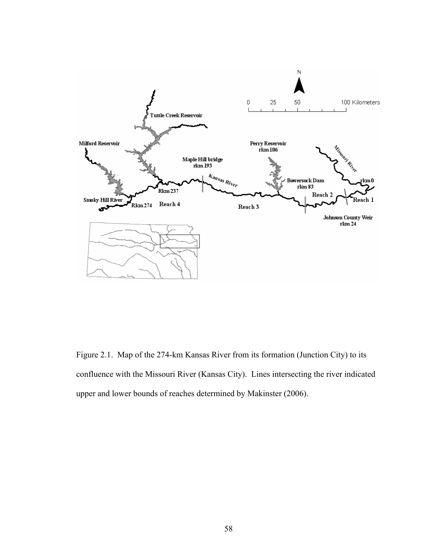

Figure 2.1. Map of the 274-km Kansas River from its formation (Junction City) to its confluence with the Missouri River (Kansas City). Lines intersecting the river indicated upper and lower bounds of reaches determined by Makinster (2006).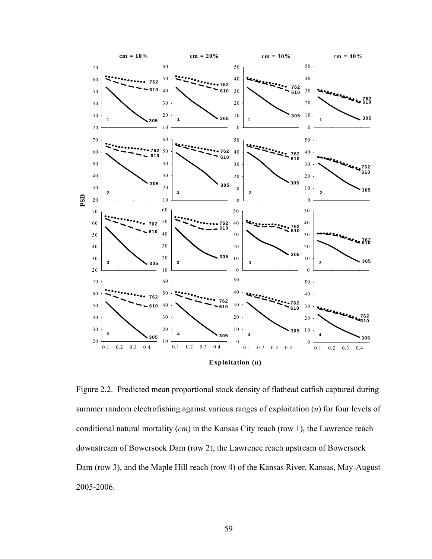

Figure 2.2. Predicted mean proportional stock density of flathead catfish captured during summer random electrofishing against various ranges of exploitation (*u*) for four levels of conditional natural mortality (*cm*) in the Kansas City reach (row 1), the Lawrence reach downstream of Bowersock Dam (row 2), the Lawrence reach upstream of Bowersock Dam (row 3), and the Maple Hill reach (row 4) of the Kansas River, Kansas, May-August 2005-2006.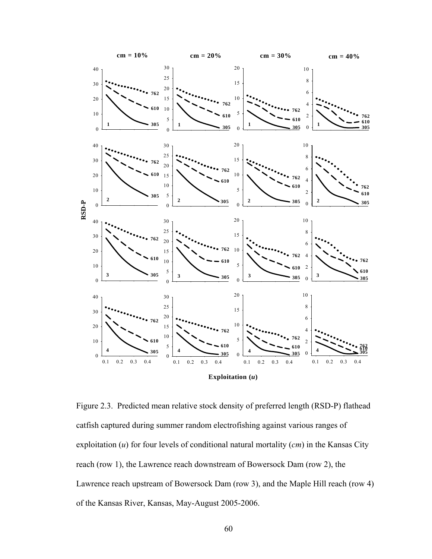

Figure 2.3. Predicted mean relative stock density of preferred length (RSD-P) flathead catfish captured during summer random electrofishing against various ranges of exploitation (*u*) for four levels of conditional natural mortality (*cm*) in the Kansas City reach (row 1), the Lawrence reach downstream of Bowersock Dam (row 2), the Lawrence reach upstream of Bowersock Dam (row 3), and the Maple Hill reach (row 4) of the Kansas River, Kansas, May-August 2005-2006.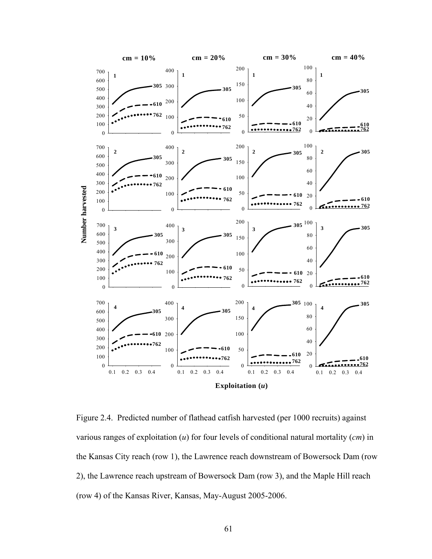

Figure 2.4. Predicted number of flathead catfish harvested (per 1000 recruits) against various ranges of exploitation (*u*) for four levels of conditional natural mortality (*cm*) in the Kansas City reach (row 1), the Lawrence reach downstream of Bowersock Dam (row 2), the Lawrence reach upstream of Bowersock Dam (row 3), and the Maple Hill reach (row 4) of the Kansas River, Kansas, May-August 2005-2006.